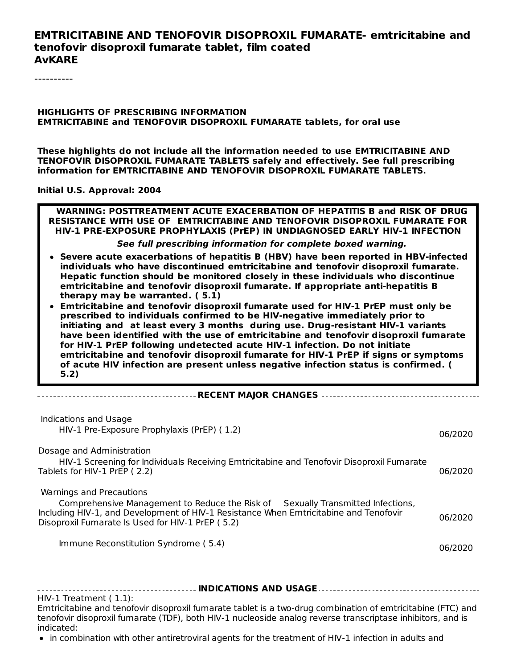#### **EMTRICITABINE AND TENOFOVIR DISOPROXIL FUMARATE- emtricitabine and tenofovir disoproxil fumarate tablet, film coated AvKARE**

----------

#### **HIGHLIGHTS OF PRESCRIBING INFORMATION EMTRICITABINE and TENOFOVIR DISOPROXIL FUMARATE tablets, for oral use**

**These highlights do not include all the information needed to use EMTRICITABINE AND TENOFOVIR DISOPROXIL FUMARATE TABLETS safely and effectively. See full prescribing information for EMTRICITABINE AND TENOFOVIR DISOPROXIL FUMARATE TABLETS.**

**Initial U.S. Approval: 2004**

**WARNING: POSTTREATMENT ACUTE EXACERBATION OF HEPATITIS B and RISK OF DRUG RESISTANCE WITH USE OF EMTRICITABINE AND TENOFOVIR DISOPROXIL FUMARATE FOR HIV-1 PRE-EXPOSURE PROPHYLAXIS (PrEP) IN UNDIAGNOSED EARLY HIV-1 INFECTION**

**See full prescribing information for complete boxed warning.**

- **Severe acute exacerbations of hepatitis B (HBV) have been reported in HBV-infected individuals who have discontinued emtricitabine and tenofovir disoproxil fumarate. Hepatic function should be monitored closely in these individuals who discontinue emtricitabine and tenofovir disoproxil fumarate. If appropriate anti-hepatitis B therapy may be warranted. ( 5.1)**
- **Emtricitabine and tenofovir disoproxil fumarate used for HIV-1 PrEP must only be prescribed to individuals confirmed to be HIV-negative immediately prior to initiating and at least every 3 months during use. Drug-resistant HIV-1 variants have been identified with the use of emtricitabine and tenofovir disoproxil fumarate for HIV-1 PrEP following undetected acute HIV-1 infection. Do not initiate emtricitabine and tenofovir disoproxil fumarate for HIV-1 PrEP if signs or symptoms of acute HIV infection are present unless negative infection status is confirmed. ( 5.2)**

|--|--|--|

| Indications and Usage<br>HIV-1 Pre-Exposure Prophylaxis (PrEP) (1.2)                                                                                                                                                                                                                             | 06/2020            |
|--------------------------------------------------------------------------------------------------------------------------------------------------------------------------------------------------------------------------------------------------------------------------------------------------|--------------------|
| Dosage and Administration<br>HIV-1 Screening for Individuals Receiving Emtricitabine and Tenofovir Disoproxil Fumarate<br>Tablets for HIV-1 PrEP (2.2)                                                                                                                                           | 06/2020            |
| Warnings and Precautions<br>Comprehensive Management to Reduce the Risk of Sexually Transmitted Infections,<br>Including HIV-1, and Development of HIV-1 Resistance When Emtricitabine and Tenofovir<br>Disoproxil Fumarate Is Used for HIV-1 PrEP (5.2)<br>Immune Reconstitution Syndrome (5.4) | 06/2020<br>06/2020 |
|                                                                                                                                                                                                                                                                                                  |                    |

**INDICATIONS AND USAGE** HIV-1 Treatment ( 1.1): Emtricitabine and tenofovir disoproxil fumarate tablet is a two-drug combination of emtricitabine (FTC) and tenofovir disoproxil fumarate (TDF), both HIV-1 nucleoside analog reverse transcriptase inhibitors, and is indicated:

• in combination with other antiretroviral agents for the treatment of HIV-1 infection in adults and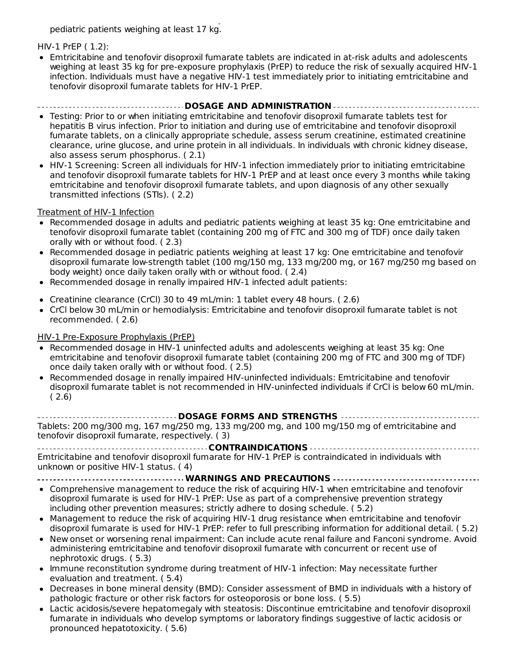in combination with other antiretroviral agents for the treatment of HIV-1 infection in adults and pediatric patients weighing at least 17 kg.

#### HIV-1 PrEP ( 1.2):

Emtricitabine and tenofovir disoproxil fumarate tablets are indicated in at-risk adults and adolescents weighing at least 35 kg for pre-exposure prophylaxis (PrEP) to reduce the risk of sexually acquired HIV-1 infection. Individuals must have a negative HIV-1 test immediately prior to initiating emtricitabine and tenofovir disoproxil fumarate tablets for HIV-1 PrEP.

#### **DOSAGE AND ADMINISTRATION**

- Testing: Prior to or when initiating emtricitabine and tenofovir disoproxil fumarate tablets test for hepatitis B virus infection. Prior to initiation and during use of emtricitabine and tenofovir disoproxil fumarate tablets, on a clinically appropriate schedule, assess serum creatinine, estimated creatinine clearance, urine glucose, and urine protein in all individuals. In individuals with chronic kidney disease, also assess serum phosphorus. ( 2.1)
- HIV-1 Screening: Screen all individuals for HIV-1 infection immediately prior to initiating emtricitabine and tenofovir disoproxil fumarate tablets for HIV-1 PrEP and at least once every 3 months while taking emtricitabine and tenofovir disoproxil fumarate tablets, and upon diagnosis of any other sexually transmitted infections (STIs). ( 2.2)

#### Treatment of HIV-1 Infection

- Recommended dosage in adults and pediatric patients weighing at least 35 kg: One emtricitabine and tenofovir disoproxil fumarate tablet (containing 200 mg of FTC and 300 mg of TDF) once daily taken orally with or without food. ( 2.3)
- Recommended dosage in pediatric patients weighing at least 17 kg: One emtricitabine and tenofovir disoproxil fumarate low-strength tablet (100 mg/150 mg, 133 mg/200 mg, or 167 mg/250 mg based on body weight) once daily taken orally with or without food. ( 2.4)
- Recommended dosage in renally impaired HIV-1 infected adult patients:
- Creatinine clearance (CrCl) 30 to 49 mL/min: 1 tablet every 48 hours. ( 2.6)
- CrCl below 30 mL/min or hemodialysis: Emtricitabine and tenofovir disoproxil fumarate tablet is not recommended. ( 2.6)

#### HIV-1 Pre-Exposure Prophylaxis (PrEP)

- Recommended dosage in HIV-1 uninfected adults and adolescents weighing at least 35 kg: One emtricitabine and tenofovir disoproxil fumarate tablet (containing 200 mg of FTC and 300 mg of TDF) once daily taken orally with or without food. ( 2.5)
- Recommended dosage in renally impaired HIV-uninfected individuals: Emtricitabine and tenofovir disoproxil fumarate tablet is not recommended in HIV-uninfected individuals if CrCl is below 60 mL/min.  $(2.6)$

**DOSAGE FORMS AND STRENGTHS** Tablets: 200 mg/300 mg, 167 mg/250 mg, 133 mg/200 mg, and 100 mg/150 mg of emtricitabine and tenofovir disoproxil fumarate, respectively. ( 3)

**CONTRAINDICATIONS** Emtricitabine and tenofovir disoproxil fumarate for HIV-1 PrEP is contraindicated in individuals with unknown or positive HIV-1 status. ( 4)

**WARNINGS AND PRECAUTIONS**

- Comprehensive management to reduce the risk of acquiring HIV-1 when emtricitabine and tenofovir disoproxil fumarate is used for HIV-1 PrEP: Use as part of a comprehensive prevention strategy including other prevention measures; strictly adhere to dosing schedule. ( 5.2)
- Management to reduce the risk of acquiring HIV-1 drug resistance when emtricitabine and tenofovir disoproxil fumarate is used for HIV-1 PrEP: refer to full prescribing information for additional detail. ( 5.2)
- New onset or worsening renal impairment: Can include acute renal failure and Fanconi syndrome. Avoid administering emtricitabine and tenofovir disoproxil fumarate with concurrent or recent use of nephrotoxic drugs. ( 5.3)
- Immune reconstitution syndrome during treatment of HIV-1 infection: May necessitate further evaluation and treatment. ( 5.4)
- Decreases in bone mineral density (BMD): Consider assessment of BMD in individuals with a history of  $\bullet$ pathologic fracture or other risk factors for osteoporosis or bone loss. ( 5.5)
- Lactic acidosis/severe hepatomegaly with steatosis: Discontinue emtricitabine and tenofovir disoproxil fumarate in individuals who develop symptoms or laboratory findings suggestive of lactic acidosis or pronounced hepatotoxicity. ( 5.6)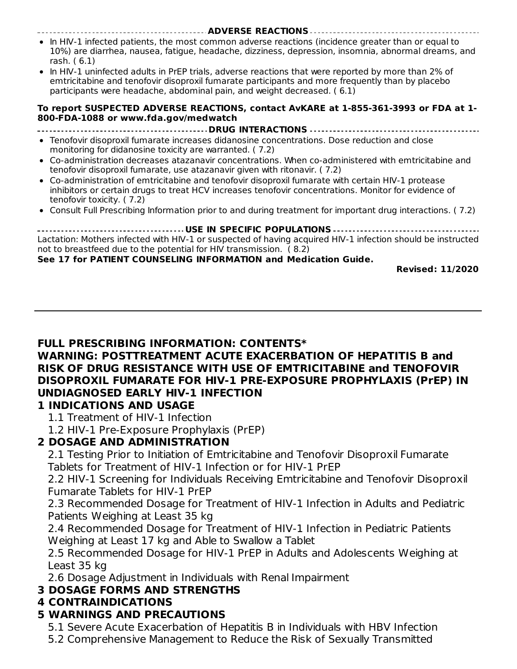- **ADVERSE REACTIONS** • In HIV-1 infected patients, the most common adverse reactions (incidence greater than or equal to 10%) are diarrhea, nausea, fatigue, headache, dizziness, depression, insomnia, abnormal dreams, and rash. ( 6.1)
- In HIV-1 uninfected adults in PrEP trials, adverse reactions that were reported by more than 2% of emtricitabine and tenofovir disoproxil fumarate participants and more frequently than by placebo participants were headache, abdominal pain, and weight decreased. ( 6.1)

#### **To report SUSPECTED ADVERSE REACTIONS, contact AvKARE at 1-855-361-3993 or FDA at 1- 800-FDA-1088 or www.fda.gov/medwatch**

- **DRUG INTERACTIONS**
- Tenofovir disoproxil fumarate increases didanosine concentrations. Dose reduction and close monitoring for didanosine toxicity are warranted. ( 7.2)
- Co-administration decreases atazanavir concentrations. When co-administered with emtricitabine and tenofovir disoproxil fumarate, use atazanavir given with ritonavir. ( 7.2)
- Co-administration of emtricitabine and tenofovir disoproxil fumarate with certain HIV-1 protease inhibitors or certain drugs to treat HCV increases tenofovir concentrations. Monitor for evidence of tenofovir toxicity. ( 7.2)
- Consult Full Prescribing Information prior to and during treatment for important drug interactions. ( 7.2)

**USE IN SPECIFIC POPULATIONS** Lactation: Mothers infected with HIV-1 or suspected of having acquired HIV-1 infection should be instructed not to breastfeed due to the potential for HIV transmission. ( 8.2)

#### **See 17 for PATIENT COUNSELING INFORMATION and Medication Guide.**

**Revised: 11/2020**

#### **FULL PRESCRIBING INFORMATION: CONTENTS\***

### **WARNING: POSTTREATMENT ACUTE EXACERBATION OF HEPATITIS B and RISK OF DRUG RESISTANCE WITH USE OF EMTRICITABINE and TENOFOVIR DISOPROXIL FUMARATE FOR HIV-1 PRE-EXPOSURE PROPHYLAXIS (PrEP) IN UNDIAGNOSED EARLY HIV-1 INFECTION**

#### **1 INDICATIONS AND USAGE**

1.1 Treatment of HIV-1 Infection

1.2 HIV-1 Pre-Exposure Prophylaxis (PrEP)

# **2 DOSAGE AND ADMINISTRATION**

2.1 Testing Prior to Initiation of Emtricitabine and Tenofovir Disoproxil Fumarate Tablets for Treatment of HIV-1 Infection or for HIV-1 PrEP

2.2 HIV-1 Screening for Individuals Receiving Emtricitabine and Tenofovir Disoproxil Fumarate Tablets for HIV-1 PrEP

2.3 Recommended Dosage for Treatment of HIV-1 Infection in Adults and Pediatric Patients Weighing at Least 35 kg

2.4 Recommended Dosage for Treatment of HIV-1 Infection in Pediatric Patients Weighing at Least 17 kg and Able to Swallow a Tablet

2.5 Recommended Dosage for HIV-1 PrEP in Adults and Adolescents Weighing at Least 35 kg

2.6 Dosage Adjustment in Individuals with Renal Impairment

#### **3 DOSAGE FORMS AND STRENGTHS**

#### **4 CONTRAINDICATIONS**

# **5 WARNINGS AND PRECAUTIONS**

5.1 Severe Acute Exacerbation of Hepatitis B in Individuals with HBV Infection

5.2 Comprehensive Management to Reduce the Risk of Sexually Transmitted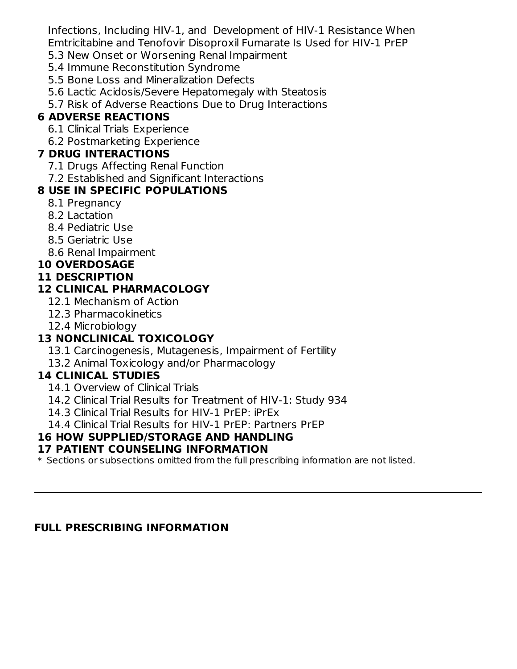Infections, Including HIV-1, and Development of HIV-1 Resistance When Emtricitabine and Tenofovir Disoproxil Fumarate Is Used for HIV-1 PrEP

- 5.3 New Onset or Worsening Renal Impairment
- 5.4 Immune Reconstitution Syndrome
- 5.5 Bone Loss and Mineralization Defects
- 5.6 Lactic Acidosis/Severe Hepatomegaly with Steatosis
- 5.7 Risk of Adverse Reactions Due to Drug Interactions

# **6 ADVERSE REACTIONS**

- 6.1 Clinical Trials Experience
- 6.2 Postmarketing Experience

# **7 DRUG INTERACTIONS**

- 7.1 Drugs Affecting Renal Function
- 7.2 Established and Significant Interactions

# **8 USE IN SPECIFIC POPULATIONS**

- 8.1 Pregnancy
- 8.2 Lactation
- 8.4 Pediatric Use
- 8.5 Geriatric Use
- 8.6 Renal Impairment

# **10 OVERDOSAGE**

# **11 DESCRIPTION**

# **12 CLINICAL PHARMACOLOGY**

- 12.1 Mechanism of Action
- 12.3 Pharmacokinetics
- 12.4 Microbiology

# **13 NONCLINICAL TOXICOLOGY**

- 13.1 Carcinogenesis, Mutagenesis, Impairment of Fertility
- 13.2 Animal Toxicology and/or Pharmacology

# **14 CLINICAL STUDIES**

- 14.1 Overview of Clinical Trials
- 14.2 Clinical Trial Results for Treatment of HIV-1: Study 934
- 14.3 Clinical Trial Results for HIV-1 PrEP: iPrEx
- 14.4 Clinical Trial Results for HIV-1 PrEP: Partners PrEP

# **16 HOW SUPPLIED/STORAGE AND HANDLING**

# **17 PATIENT COUNSELING INFORMATION**

 $\ast$  Sections or subsections omitted from the full prescribing information are not listed.

# **FULL PRESCRIBING INFORMATION**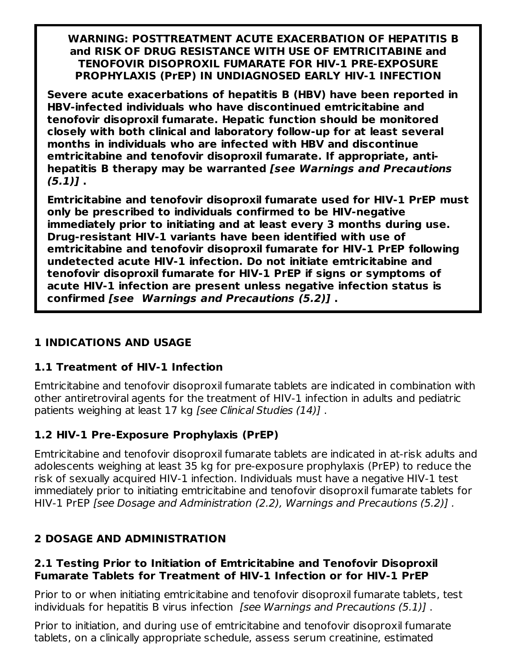**WARNING: POSTTREATMENT ACUTE EXACERBATION OF HEPATITIS B and RISK OF DRUG RESISTANCE WITH USE OF EMTRICITABINE and TENOFOVIR DISOPROXIL FUMARATE FOR HIV-1 PRE-EXPOSURE PROPHYLAXIS (PrEP) IN UNDIAGNOSED EARLY HIV-1 INFECTION**

**Severe acute exacerbations of hepatitis B (HBV) have been reported in HBV-infected individuals who have discontinued emtricitabine and tenofovir disoproxil fumarate. Hepatic function should be monitored closely with both clinical and laboratory follow-up for at least several months in individuals who are infected with HBV and discontinue emtricitabine and tenofovir disoproxil fumarate. If appropriate, antihepatitis B therapy may be warranted [see Warnings and Precautions (5.1)] .**

**Emtricitabine and tenofovir disoproxil fumarate used for HIV-1 PrEP must only be prescribed to individuals confirmed to be HIV-negative immediately prior to initiating and at least every 3 months during use. Drug-resistant HIV-1 variants have been identified with use of emtricitabine and tenofovir disoproxil fumarate for HIV-1 PrEP following undetected acute HIV-1 infection. Do not initiate emtricitabine and tenofovir disoproxil fumarate for HIV-1 PrEP if signs or symptoms of acute HIV-1 infection are present unless negative infection status is confirmed [see Warnings and Precautions (5.2)] .**

# **1 INDICATIONS AND USAGE**

# **1.1 Treatment of HIV-1 Infection**

Emtricitabine and tenofovir disoproxil fumarate tablets are indicated in combination with other antiretroviral agents for the treatment of HIV-1 infection in adults and pediatric patients weighing at least 17 kg [see Clinical Studies (14)] .

# **1.2 HIV-1 Pre-Exposure Prophylaxis (PrEP)**

Emtricitabine and tenofovir disoproxil fumarate tablets are indicated in at-risk adults and adolescents weighing at least 35 kg for pre-exposure prophylaxis (PrEP) to reduce the risk of sexually acquired HIV-1 infection. Individuals must have a negative HIV-1 test immediately prior to initiating emtricitabine and tenofovir disoproxil fumarate tablets for HIV-1 PrEP [see Dosage and Administration (2.2), Warnings and Precautions (5.2)] .

# **2 DOSAGE AND ADMINISTRATION**

#### **2.1 Testing Prior to Initiation of Emtricitabine and Tenofovir Disoproxil Fumarate Tablets for Treatment of HIV-1 Infection or for HIV-1 PrEP**

Prior to or when initiating emtricitabine and tenofovir disoproxil fumarate tablets, test individuals for hepatitis B virus infection *[see Warnings and Precautions (5.1)]*.

Prior to initiation, and during use of emtricitabine and tenofovir disoproxil fumarate tablets, on a clinically appropriate schedule, assess serum creatinine, estimated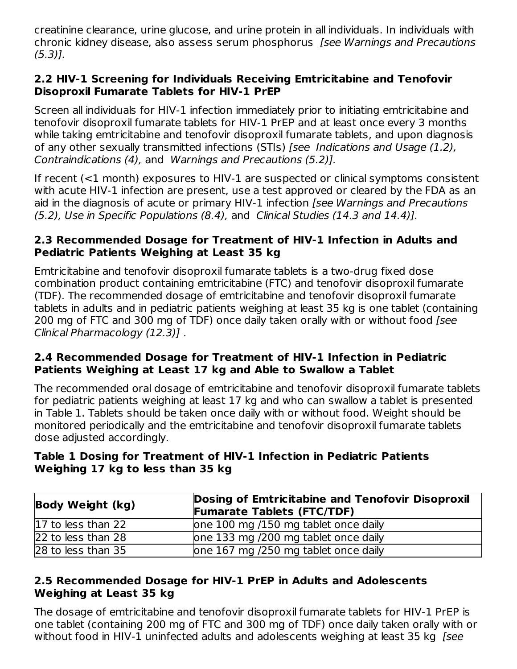creatinine clearance, urine glucose, and urine protein in all individuals. In individuals with chronic kidney disease, also assess serum phosphorus [see Warnings and Precautions (5.3)].

#### **2.2 HIV-1 Screening for Individuals Receiving Emtricitabine and Tenofovir Disoproxil Fumarate Tablets for HIV-1 PrEP**

Screen all individuals for HIV-1 infection immediately prior to initiating emtricitabine and tenofovir disoproxil fumarate tablets for HIV-1 PrEP and at least once every 3 months while taking emtricitabine and tenofovir disoproxil fumarate tablets, and upon diagnosis of any other sexually transmitted infections (STIs) [see Indications and Usage (1.2), Contraindications (4), and Warnings and Precautions (5.2)].

If recent (<1 month) exposures to HIV-1 are suspected or clinical symptoms consistent with acute HIV-1 infection are present, use a test approved or cleared by the FDA as an aid in the diagnosis of acute or primary HIV-1 infection [see Warnings and Precautions (5.2), Use in Specific Populations (8.4), and Clinical Studies (14.3 and 14.4)].

#### **2.3 Recommended Dosage for Treatment of HIV-1 Infection in Adults and Pediatric Patients Weighing at Least 35 kg**

Emtricitabine and tenofovir disoproxil fumarate tablets is a two-drug fixed dose combination product containing emtricitabine (FTC) and tenofovir disoproxil fumarate (TDF). The recommended dosage of emtricitabine and tenofovir disoproxil fumarate tablets in adults and in pediatric patients weighing at least 35 kg is one tablet (containing 200 mg of FTC and 300 mg of TDF) once daily taken orally with or without food [see Clinical Pharmacology (12.3)] .

#### **2.4 Recommended Dosage for Treatment of HIV-1 Infection in Pediatric Patients Weighing at Least 17 kg and Able to Swallow a Tablet**

The recommended oral dosage of emtricitabine and tenofovir disoproxil fumarate tablets for pediatric patients weighing at least 17 kg and who can swallow a tablet is presented in Table 1. Tablets should be taken once daily with or without food. Weight should be monitored periodically and the emtricitabine and tenofovir disoproxil fumarate tablets dose adjusted accordingly.

### **Table 1 Dosing for Treatment of HIV-1 Infection in Pediatric Patients Weighing 17 kg to less than 35 kg**

| Body Weight (kg)     | Dosing of Emtricitabine and Tenofovir Disoproxil<br><b>Fumarate Tablets (FTC/TDF)</b> |  |
|----------------------|---------------------------------------------------------------------------------------|--|
| $17$ to less than 22 | one 100 mg /150 mg tablet once daily                                                  |  |
| 22 to less than 28   | one 133 mg /200 mg tablet once daily                                                  |  |
| 28 to less than 35   | one 167 mg /250 mg tablet once daily                                                  |  |

### **2.5 Recommended Dosage for HIV-1 PrEP in Adults and Adolescents Weighing at Least 35 kg**

The dosage of emtricitabine and tenofovir disoproxil fumarate tablets for HIV-1 PrEP is one tablet (containing 200 mg of FTC and 300 mg of TDF) once daily taken orally with or without food in HIV-1 uninfected adults and adolescents weighing at least 35 kg [see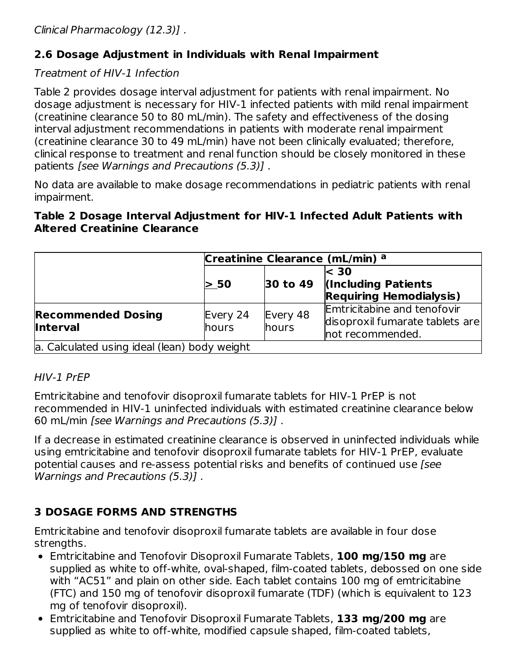# **2.6 Dosage Adjustment in Individuals with Renal Impairment**

# Treatment of HIV-1 Infection

Table 2 provides dosage interval adjustment for patients with renal impairment. No dosage adjustment is necessary for HIV-1 infected patients with mild renal impairment (creatinine clearance 50 to 80 mL/min). The safety and effectiveness of the dosing interval adjustment recommendations in patients with moderate renal impairment (creatinine clearance 30 to 49 mL/min) have not been clinically evaluated; therefore, clinical response to treatment and renal function should be closely monitored in these patients [see Warnings and Precautions (5.3)] .

No data are available to make dosage recommendations in pediatric patients with renal impairment.

#### **Table 2 Dosage Interval Adjustment for HIV-1 Infected Adult Patients with Altered Creatinine Clearance**

|                                              | Creatinine Clearance (mL/min) <sup>a</sup> |                       |                                                                                    |
|----------------------------------------------|--------------------------------------------|-----------------------|------------------------------------------------------------------------------------|
|                                              | > 50                                       | $ 30 \text{ to } 49 $ | $\leq 30$<br>(Including Patients)<br><b>Requiring Hemodialysis)</b>                |
| <b>Recommended Dosing</b><br><b>Interval</b> | Every 24<br>hours                          | Every 48<br>hours     | Emtricitabine and tenofovir<br>disoproxil fumarate tablets are<br>not recommended. |
| a. Calculated using ideal (lean) body weight |                                            |                       |                                                                                    |

#### HIV-1 PrEP

Emtricitabine and tenofovir disoproxil fumarate tablets for HIV-1 PrEP is not recommended in HIV-1 uninfected individuals with estimated creatinine clearance below 60 mL/min [see Warnings and Precautions (5.3)] .

If a decrease in estimated creatinine clearance is observed in uninfected individuals while using emtricitabine and tenofovir disoproxil fumarate tablets for HIV-1 PrEP, evaluate potential causes and re-assess potential risks and benefits of continued use [see Warnings and Precautions (5.3)] .

# **3 DOSAGE FORMS AND STRENGTHS**

Emtricitabine and tenofovir disoproxil fumarate tablets are available in four dose strengths.

- Emtricitabine and Tenofovir Disoproxil Fumarate Tablets, **100 mg/150 mg** are supplied as white to off-white, oval-shaped, film-coated tablets, debossed on one side with "AC51" and plain on other side. Each tablet contains 100 mg of emtricitabine (FTC) and 150 mg of tenofovir disoproxil fumarate (TDF) (which is equivalent to 123 mg of tenofovir disoproxil).
- Emtricitabine and Tenofovir Disoproxil Fumarate Tablets, **133 mg/200 mg** are supplied as white to off-white, modified capsule shaped, film-coated tablets,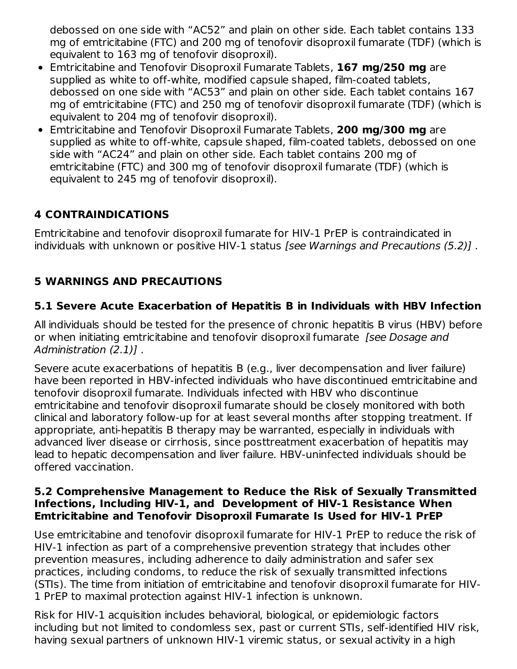debossed on one side with "AC52" and plain on other side. Each tablet contains 133 mg of emtricitabine (FTC) and 200 mg of tenofovir disoproxil fumarate (TDF) (which is equivalent to 163 mg of tenofovir disoproxil).

- Emtricitabine and Tenofovir Disoproxil Fumarate Tablets, **167 mg/250 mg** are supplied as white to off-white, modified capsule shaped, film-coated tablets, debossed on one side with "AC53" and plain on other side. Each tablet contains 167 mg of emtricitabine (FTC) and 250 mg of tenofovir disoproxil fumarate (TDF) (which is equivalent to 204 mg of tenofovir disoproxil).
- Emtricitabine and Tenofovir Disoproxil Fumarate Tablets, **200 mg/300 mg** are supplied as white to off-white, capsule shaped, film-coated tablets, debossed on one side with "AC24" and plain on other side. Each tablet contains 200 mg of emtricitabine (FTC) and 300 mg of tenofovir disoproxil fumarate (TDF) (which is equivalent to 245 mg of tenofovir disoproxil).

# **4 CONTRAINDICATIONS**

Emtricitabine and tenofovir disoproxil fumarate for HIV-1 PrEP is contraindicated in individuals with unknown or positive HIV-1 status [see Warnings and Precautions (5.2)] .

# **5 WARNINGS AND PRECAUTIONS**

# **5.1 Severe Acute Exacerbation of Hepatitis B in Individuals with HBV Infection**

All individuals should be tested for the presence of chronic hepatitis B virus (HBV) before or when initiating emtricitabine and tenofovir disoproxil fumarate *[see Dosage and* Administration (2.1)] .

Severe acute exacerbations of hepatitis B (e.g., liver decompensation and liver failure) have been reported in HBV-infected individuals who have discontinued emtricitabine and tenofovir disoproxil fumarate. Individuals infected with HBV who discontinue emtricitabine and tenofovir disoproxil fumarate should be closely monitored with both clinical and laboratory follow-up for at least several months after stopping treatment. If appropriate, anti-hepatitis B therapy may be warranted, especially in individuals with advanced liver disease or cirrhosis, since posttreatment exacerbation of hepatitis may lead to hepatic decompensation and liver failure. HBV-uninfected individuals should be offered vaccination.

#### **5.2 Comprehensive Management to Reduce the Risk of Sexually Transmitted Infections, Including HIV-1, and Development of HIV-1 Resistance When Emtricitabine and Tenofovir Disoproxil Fumarate Is Used for HIV-1 PrEP**

Use emtricitabine and tenofovir disoproxil fumarate for HIV-1 PrEP to reduce the risk of HIV-1 infection as part of a comprehensive prevention strategy that includes other prevention measures, including adherence to daily administration and safer sex practices, including condoms, to reduce the risk of sexually transmitted infections (STIs). The time from initiation of emtricitabine and tenofovir disoproxil fumarate for HIV-1 PrEP to maximal protection against HIV-1 infection is unknown.

Risk for HIV-1 acquisition includes behavioral, biological, or epidemiologic factors including but not limited to condomless sex, past or current STIs, self-identified HIV risk, having sexual partners of unknown HIV-1 viremic status, or sexual activity in a high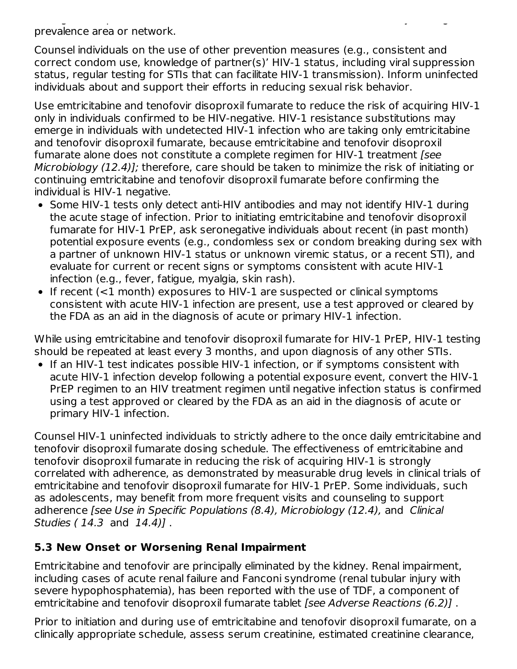having sexual partners of unknown HIV-1 viremic status, or sexual activity in a high prevalence area or network.

Counsel individuals on the use of other prevention measures (e.g., consistent and correct condom use, knowledge of partner(s)' HIV-1 status, including viral suppression status, regular testing for STIs that can facilitate HIV-1 transmission). Inform uninfected individuals about and support their efforts in reducing sexual risk behavior.

Use emtricitabine and tenofovir disoproxil fumarate to reduce the risk of acquiring HIV-1 only in individuals confirmed to be HIV-negative. HIV-1 resistance substitutions may emerge in individuals with undetected HIV-1 infection who are taking only emtricitabine and tenofovir disoproxil fumarate, because emtricitabine and tenofovir disoproxil fumarate alone does not constitute a complete regimen for HIV-1 treatment [see Microbiology (12.4)]; therefore, care should be taken to minimize the risk of initiating or continuing emtricitabine and tenofovir disoproxil fumarate before confirming the individual is HIV-1 negative.

- Some HIV-1 tests only detect anti-HIV antibodies and may not identify HIV-1 during the acute stage of infection. Prior to initiating emtricitabine and tenofovir disoproxil fumarate for HIV-1 PrEP, ask seronegative individuals about recent (in past month) potential exposure events (e.g., condomless sex or condom breaking during sex with a partner of unknown HIV-1 status or unknown viremic status, or a recent STI), and evaluate for current or recent signs or symptoms consistent with acute HIV-1 infection (e.g., fever, fatigue, myalgia, skin rash).
- If recent (<1 month) exposures to HIV-1 are suspected or clinical symptoms consistent with acute HIV-1 infection are present, use a test approved or cleared by the FDA as an aid in the diagnosis of acute or primary HIV-1 infection.

While using emtricitabine and tenofovir disoproxil fumarate for HIV-1 PrEP, HIV-1 testing should be repeated at least every 3 months, and upon diagnosis of any other STIs.

• If an HIV-1 test indicates possible HIV-1 infection, or if symptoms consistent with acute HIV-1 infection develop following a potential exposure event, convert the HIV-1 PrEP regimen to an HIV treatment regimen until negative infection status is confirmed using a test approved or cleared by the FDA as an aid in the diagnosis of acute or primary HIV-1 infection.

Counsel HIV-1 uninfected individuals to strictly adhere to the once daily emtricitabine and tenofovir disoproxil fumarate dosing schedule. The effectiveness of emtricitabine and tenofovir disoproxil fumarate in reducing the risk of acquiring HIV-1 is strongly correlated with adherence, as demonstrated by measurable drug levels in clinical trials of emtricitabine and tenofovir disoproxil fumarate for HIV-1 PrEP. Some individuals, such as adolescents, may benefit from more frequent visits and counseling to support adherence [see Use in Specific Populations (8.4), Microbiology (12.4), and Clinical Studies (14.3 and 14.4)].

# **5.3 New Onset or Worsening Renal Impairment**

Emtricitabine and tenofovir are principally eliminated by the kidney. Renal impairment, including cases of acute renal failure and Fanconi syndrome (renal tubular injury with severe hypophosphatemia), has been reported with the use of TDF, a component of emtricitabine and tenofovir disoproxil fumarate tablet [see Adverse Reactions (6.2)].

Prior to initiation and during use of emtricitabine and tenofovir disoproxil fumarate, on a clinically appropriate schedule, assess serum creatinine, estimated creatinine clearance,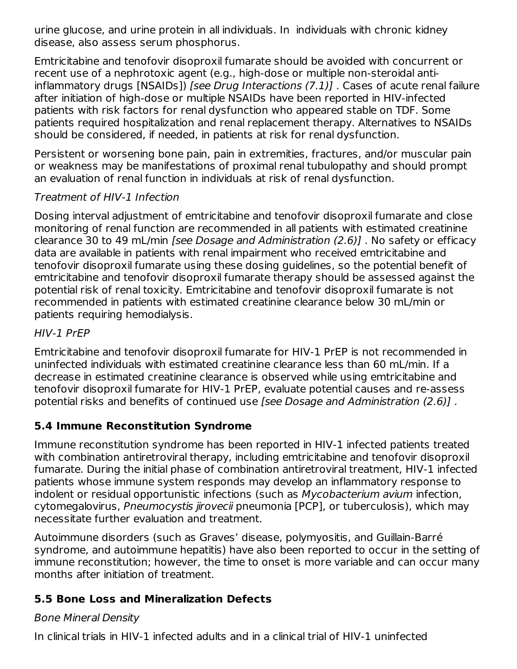urine glucose, and urine protein in all individuals. In individuals with chronic kidney disease, also assess serum phosphorus.

Emtricitabine and tenofovir disoproxil fumarate should be avoided with concurrent or recent use of a nephrotoxic agent (e.g., high-dose or multiple non-steroidal antiinflammatory drugs [NSAIDs]) [see Drug Interactions  $(7.1)$ ]. Cases of acute renal failure after initiation of high-dose or multiple NSAIDs have been reported in HIV-infected patients with risk factors for renal dysfunction who appeared stable on TDF. Some patients required hospitalization and renal replacement therapy. Alternatives to NSAIDs should be considered, if needed, in patients at risk for renal dysfunction.

Persistent or worsening bone pain, pain in extremities, fractures, and/or muscular pain or weakness may be manifestations of proximal renal tubulopathy and should prompt an evaluation of renal function in individuals at risk of renal dysfunction.

# Treatment of HIV-1 Infection

Dosing interval adjustment of emtricitabine and tenofovir disoproxil fumarate and close monitoring of renal function are recommended in all patients with estimated creatinine clearance 30 to 49 mL/min [see Dosage and Administration (2.6)] . No safety or efficacy data are available in patients with renal impairment who received emtricitabine and tenofovir disoproxil fumarate using these dosing guidelines, so the potential benefit of emtricitabine and tenofovir disoproxil fumarate therapy should be assessed against the potential risk of renal toxicity. Emtricitabine and tenofovir disoproxil fumarate is not recommended in patients with estimated creatinine clearance below 30 mL/min or patients requiring hemodialysis.

# HIV-1 PrEP

Emtricitabine and tenofovir disoproxil fumarate for HIV-1 PrEP is not recommended in uninfected individuals with estimated creatinine clearance less than 60 mL/min. If a decrease in estimated creatinine clearance is observed while using emtricitabine and tenofovir disoproxil fumarate for HIV-1 PrEP, evaluate potential causes and re-assess potential risks and benefits of continued use [see Dosage and Administration (2.6)] .

# **5.4 Immune Reconstitution Syndrome**

Immune reconstitution syndrome has been reported in HIV-1 infected patients treated with combination antiretroviral therapy, including emtricitabine and tenofovir disoproxil fumarate. During the initial phase of combination antiretroviral treatment, HIV-1 infected patients whose immune system responds may develop an inflammatory response to indolent or residual opportunistic infections (such as Mycobacterium avium infection, cytomegalovirus, Pneumocystis jirovecii pneumonia [PCP], or tuberculosis), which may necessitate further evaluation and treatment.

Autoimmune disorders (such as Graves' disease, polymyositis, and Guillain-Barré syndrome, and autoimmune hepatitis) have also been reported to occur in the setting of immune reconstitution; however, the time to onset is more variable and can occur many months after initiation of treatment.

# **5.5 Bone Loss and Mineralization Defects**

# Bone Mineral Density

In clinical trials in HIV-1 infected adults and in a clinical trial of HIV-1 uninfected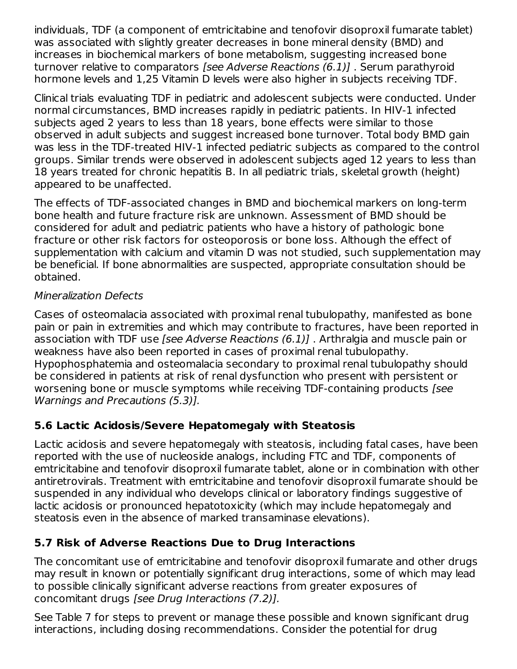individuals, TDF (a component of emtricitabine and tenofovir disoproxil fumarate tablet) was associated with slightly greater decreases in bone mineral density (BMD) and increases in biochemical markers of bone metabolism, suggesting increased bone turnover relative to comparators [see Adverse Reactions (6.1)] . Serum parathyroid hormone levels and 1,25 Vitamin D levels were also higher in subjects receiving TDF.

Clinical trials evaluating TDF in pediatric and adolescent subjects were conducted. Under normal circumstances, BMD increases rapidly in pediatric patients. In HIV-1 infected subjects aged 2 years to less than 18 years, bone effects were similar to those observed in adult subjects and suggest increased bone turnover. Total body BMD gain was less in the TDF-treated HIV-1 infected pediatric subjects as compared to the control groups. Similar trends were observed in adolescent subjects aged 12 years to less than 18 years treated for chronic hepatitis B. In all pediatric trials, skeletal growth (height) appeared to be unaffected.

The effects of TDF-associated changes in BMD and biochemical markers on long-term bone health and future fracture risk are unknown. Assessment of BMD should be considered for adult and pediatric patients who have a history of pathologic bone fracture or other risk factors for osteoporosis or bone loss. Although the effect of supplementation with calcium and vitamin D was not studied, such supplementation may be beneficial. If bone abnormalities are suspected, appropriate consultation should be obtained.

### Mineralization Defects

Cases of osteomalacia associated with proximal renal tubulopathy, manifested as bone pain or pain in extremities and which may contribute to fractures, have been reported in association with TDF use [see Adverse Reactions (6.1)] . Arthralgia and muscle pain or weakness have also been reported in cases of proximal renal tubulopathy. Hypophosphatemia and osteomalacia secondary to proximal renal tubulopathy should be considered in patients at risk of renal dysfunction who present with persistent or worsening bone or muscle symptoms while receiving TDF-containing products [see Warnings and Precautions (5.3)].

# **5.6 Lactic Acidosis/Severe Hepatomegaly with Steatosis**

Lactic acidosis and severe hepatomegaly with steatosis, including fatal cases, have been reported with the use of nucleoside analogs, including FTC and TDF, components of emtricitabine and tenofovir disoproxil fumarate tablet, alone or in combination with other antiretrovirals. Treatment with emtricitabine and tenofovir disoproxil fumarate should be suspended in any individual who develops clinical or laboratory findings suggestive of lactic acidosis or pronounced hepatotoxicity (which may include hepatomegaly and steatosis even in the absence of marked transaminase elevations).

# **5.7 Risk of Adverse Reactions Due to Drug Interactions**

The concomitant use of emtricitabine and tenofovir disoproxil fumarate and other drugs may result in known or potentially significant drug interactions, some of which may lead to possible clinically significant adverse reactions from greater exposures of concomitant drugs [see Drug Interactions (7.2)].

See Table 7 for steps to prevent or manage these possible and known significant drug interactions, including dosing recommendations. Consider the potential for drug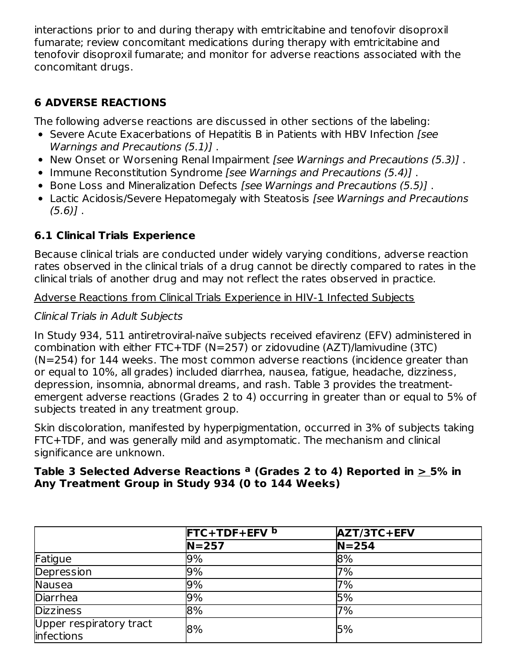interactions prior to and during therapy with emtricitabine and tenofovir disoproxil fumarate; review concomitant medications during therapy with emtricitabine and tenofovir disoproxil fumarate; and monitor for adverse reactions associated with the concomitant drugs.

# **6 ADVERSE REACTIONS**

The following adverse reactions are discussed in other sections of the labeling:

- Severe Acute Exacerbations of Hepatitis B in Patients with HBV Infection [see Warnings and Precautions (5.1)] .
- New Onset or Worsening Renal Impairment *[see Warnings and Precautions (5.3)]*.
- Immune Reconstitution Syndrome [see Warnings and Precautions (5.4)].
- Bone Loss and Mineralization Defects [see Warnings and Precautions (5.5)].
- Lactic Acidosis/Severe Hepatomegaly with Steatosis *[see Warnings and Precautions*  $(5.6)$ ].

# **6.1 Clinical Trials Experience**

Because clinical trials are conducted under widely varying conditions, adverse reaction rates observed in the clinical trials of a drug cannot be directly compared to rates in the clinical trials of another drug and may not reflect the rates observed in practice.

Adverse Reactions from Clinical Trials Experience in HIV-1 Infected Subjects

# Clinical Trials in Adult Subjects

In Study 934, 511 antiretroviral-naïve subjects received efavirenz (EFV) administered in combination with either FTC+TDF (N=257) or zidovudine (AZT)/lamivudine (3TC) (N=254) for 144 weeks. The most common adverse reactions (incidence greater than or equal to 10%, all grades) included diarrhea, nausea, fatigue, headache, dizziness, depression, insomnia, abnormal dreams, and rash. Table 3 provides the treatmentemergent adverse reactions (Grades 2 to 4) occurring in greater than or equal to 5% of subjects treated in any treatment group.

Skin discoloration, manifested by hyperpigmentation, occurred in 3% of subjects taking FTC+TDF, and was generally mild and asymptomatic. The mechanism and clinical significance are unknown.

#### **Table 3 Selected Adverse Reactions (Grades 2 to 4) Reported in > 5% in a Any Treatment Group in Study 934 (0 to 144 Weeks)**

|                                        | <b>FTC+TDF+EFV</b> b | AZT/3TC+EFV |
|----------------------------------------|----------------------|-------------|
|                                        | $N = 257$            | $N = 254$   |
| Fatigue                                | 9%                   | 8%          |
| Depression                             | 9%                   | 7%          |
| Nausea                                 | 9%                   | 7%          |
| Diarrhea                               | 9%                   | 5%          |
| <b>Dizziness</b>                       | 8%                   | 7%          |
| Upper respiratory tract<br>linfections | 8%                   | 5%          |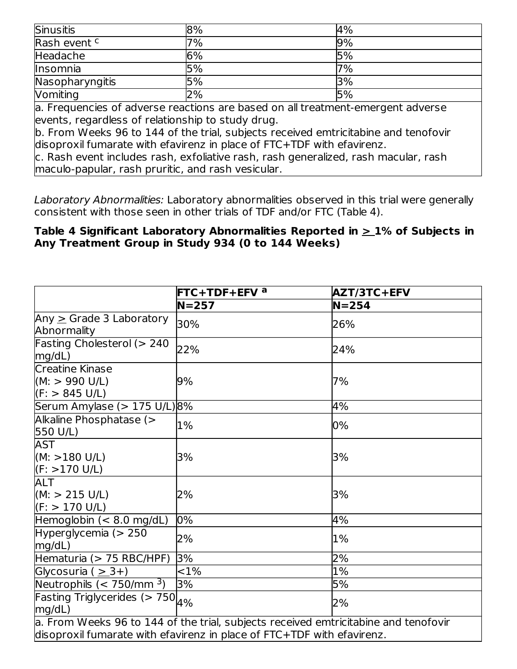| <b>Sinusitis</b> | 8% | 4%        |
|------------------|----|-----------|
| Rash event c     | 7% | 9%        |
| Headache         | 6% | 5%        |
| Insomnia         | 5% | 7%        |
| Nasopharyngitis  | 5% | <b>3%</b> |
| Vomiting         | 2% | 5%        |

a. Frequencies of adverse reactions are based on all treatment-emergent adverse events, regardless of relationship to study drug.

b. From Weeks 96 to 144 of the trial, subjects received emtricitabine and tenofovir disoproxil fumarate with efavirenz in place of FTC+TDF with efavirenz.

c. Rash event includes rash, exfoliative rash, rash generalized, rash macular, rash maculo-papular, rash pruritic, and rash vesicular.

Laboratory Abnormalities: Laboratory abnormalities observed in this trial were generally consistent with those seen in other trials of TDF and/or FTC (Table 4).

#### **Table 4 Significant Laboratory Abnormalities Reported in > 1% of Subjects in Any Treatment Group in Study 934 (0 to 144 Weeks)**

|                                                                                                                                                               | $FTC+TDF+EFV^a$ | AZT/3TC+EFV |
|---------------------------------------------------------------------------------------------------------------------------------------------------------------|-----------------|-------------|
|                                                                                                                                                               | $N=257$         | $N = 254$   |
| Any $\geq$ Grade 3 Laboratory<br>Abnormality                                                                                                                  | 30%             | 26%         |
| Fasting Cholesterol ( $> 240$<br>mg/dL)                                                                                                                       | 22%             | 24%         |
| Creatine Kinase<br>(M: > 990 U/L)<br>$(F: > 845 \text{ U/L})$                                                                                                 | 9%              | 7%          |
| Serum Amylase ( $> 175$ U/L) $ 8\%$                                                                                                                           |                 | 4%          |
| Alkaline Phosphatase (><br>550 U/L)                                                                                                                           | 1%              | 0%          |
| AST<br>(M: > 180 U/L)<br>(F: >170 U/L)                                                                                                                        | 3%              | 3%          |
| <b>ALT</b><br>(M: > 215 U/L)<br>(F: > 170 U/L)                                                                                                                | 2%              | 3%          |
| Hemoglobin $(< 8.0$ mg/dL)                                                                                                                                    | 0%              | 4%          |
| Hyperglycemia (> 250<br>mg/dL)                                                                                                                                | 2%              | 1%          |
| Hematuria (> 75 RBC/HPF)                                                                                                                                      | 3%              | 2%          |
| Glycosuria ( $\geq$ 3+)                                                                                                                                       | ${<}1\%$        | 1%          |
| Neutrophils $(< 750$ /mm <sup>3</sup> )                                                                                                                       | 3%              | 5%          |
| Fasting Triglycerides (> $750_{4\%}$<br>mg/dL)                                                                                                                |                 | 2%          |
| a. From Weeks 96 to 144 of the trial, subjects received emtricitabine and tenofovir<br>disoproxil fumarate with efavirenz in place of FTC+TDF with efavirenz. |                 |             |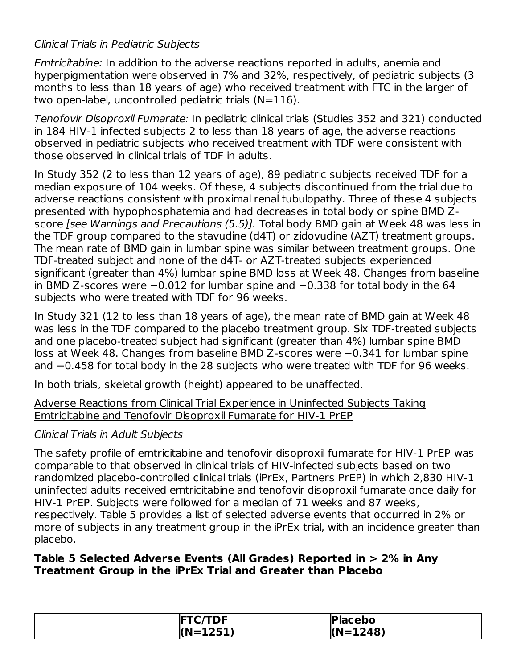# Clinical Trials in Pediatric Subjects

Emtricitabine: In addition to the adverse reactions reported in adults, anemia and hyperpigmentation were observed in 7% and 32%, respectively, of pediatric subjects (3 months to less than 18 years of age) who received treatment with FTC in the larger of two open-label, uncontrolled pediatric trials (N=116).

Tenofovir Disoproxil Fumarate: In pediatric clinical trials (Studies 352 and 321) conducted in 184 HIV-1 infected subjects 2 to less than 18 years of age, the adverse reactions observed in pediatric subjects who received treatment with TDF were consistent with those observed in clinical trials of TDF in adults.

In Study 352 (2 to less than 12 years of age), 89 pediatric subjects received TDF for a median exposure of 104 weeks. Of these, 4 subjects discontinued from the trial due to adverse reactions consistent with proximal renal tubulopathy. Three of these 4 subjects presented with hypophosphatemia and had decreases in total body or spine BMD Zscore [see Warnings and Precautions (5.5)]. Total body BMD gain at Week 48 was less in the TDF group compared to the stavudine (d4T) or zidovudine (AZT) treatment groups. The mean rate of BMD gain in lumbar spine was similar between treatment groups. One TDF-treated subject and none of the d4T- or AZT-treated subjects experienced significant (greater than 4%) lumbar spine BMD loss at Week 48. Changes from baseline in BMD Z-scores were −0.012 for lumbar spine and −0.338 for total body in the 64 subjects who were treated with TDF for 96 weeks.

In Study 321 (12 to less than 18 years of age), the mean rate of BMD gain at Week 48 was less in the TDF compared to the placebo treatment group. Six TDF-treated subjects and one placebo-treated subject had significant (greater than 4%) lumbar spine BMD loss at Week 48. Changes from baseline BMD Z-scores were −0.341 for lumbar spine and −0.458 for total body in the 28 subjects who were treated with TDF for 96 weeks.

In both trials, skeletal growth (height) appeared to be unaffected.

Adverse Reactions from Clinical Trial Experience in Uninfected Subjects Taking Emtricitabine and Tenofovir Disoproxil Fumarate for HIV-1 PrEP

#### Clinical Trials in Adult Subjects

The safety profile of emtricitabine and tenofovir disoproxil fumarate for HIV-1 PrEP was comparable to that observed in clinical trials of HIV-infected subjects based on two randomized placebo-controlled clinical trials (iPrEx, Partners PrEP) in which 2,830 HIV-1 uninfected adults received emtricitabine and tenofovir disoproxil fumarate once daily for HIV-1 PrEP. Subjects were followed for a median of 71 weeks and 87 weeks, respectively. Table 5 provides a list of selected adverse events that occurred in 2% or more of subjects in any treatment group in the iPrEx trial, with an incidence greater than placebo.

#### **Table 5 Selected Adverse Events (All Grades) Reported in > 2% in Any Treatment Group in the iPrEx Trial and Greater than Placebo**

| `/TDF<br>IF<br>71 C. | <b>Placebo</b> |
|----------------------|----------------|
| $(N=1251)$           | $(N=1248)$     |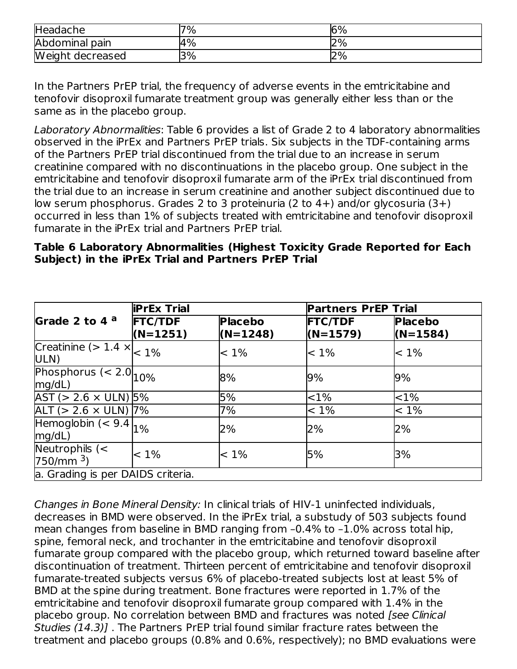| Headache         | $7\%$ | 6% |
|------------------|-------|----|
| Abdominal pain   | $4\%$ | 2% |
| Weight decreased | 3%    | 2% |

In the Partners PrEP trial, the frequency of adverse events in the emtricitabine and tenofovir disoproxil fumarate treatment group was generally either less than or the same as in the placebo group.

Laboratory Abnormalities: Table 6 provides a list of Grade 2 to 4 laboratory abnormalities observed in the iPrEx and Partners PrEP trials. Six subjects in the TDF-containing arms of the Partners PrEP trial discontinued from the trial due to an increase in serum creatinine compared with no discontinuations in the placebo group. One subject in the emtricitabine and tenofovir disoproxil fumarate arm of the iPrEx trial discontinued from the trial due to an increase in serum creatinine and another subject discontinued due to low serum phosphorus. Grades 2 to 3 proteinuria (2 to 4+) and/or glycosuria (3+) occurred in less than 1% of subjects treated with emtricitabine and tenofovir disoproxil fumarate in the iPrEx trial and Partners PrEP trial.

#### **Table 6 Laboratory Abnormalities (Highest Toxicity Grade Reported for Each Subject) in the iPrEx Trial and Partners PrEP Trial**

|                                              | <b>iPrEx Trial</b>           |                              | <b>Partners PrEP Trial</b>   |                              |
|----------------------------------------------|------------------------------|------------------------------|------------------------------|------------------------------|
| Grade 2 to 4 $a$                             | <b>FTC/TDF</b><br>$(N=1251)$ | <b>Placebo</b><br>$(N=1248)$ | <b>FTC/TDF</b><br>$(N=1579)$ | <b>Placebo</b><br>$(N=1584)$ |
| Creatinine ( $> 1.4 \times \vert$ 1%<br>ULN) |                              | $< 1\%$                      | $< 1\%$                      | $< 1\%$                      |
| Phosphorus $(< 2.0$ $10\%$<br>mg/dL)         |                              | 8%                           | 9%                           | 9%                           |
| $AST (> 2.6 \times ULN)$ 5%                  |                              | 5%                           | $ $ < 1%                     | ${<}1\%$                     |
| ALT ( $> 2.6 \times$ ULN) 7%                 |                              | 7%                           | $< 1\%$                      | $< 1\%$                      |
| Hemoglobin $(< 9.4$<br>mg/dL)                | $1\%$                        | 2%                           | 2%                           | 2%                           |
| Neutrophils $(<$<br>750/mm <sup>3</sup>      | $< 1\%$                      | $< 1\%$                      | 5%                           | 3%                           |
| a. Grading is per DAIDS criteria.            |                              |                              |                              |                              |

Changes in Bone Mineral Density: In clinical trials of HIV-1 uninfected individuals, decreases in BMD were observed. In the iPrEx trial, a substudy of 503 subjects found mean changes from baseline in BMD ranging from –0.4% to –1.0% across total hip, spine, femoral neck, and trochanter in the emtricitabine and tenofovir disoproxil fumarate group compared with the placebo group, which returned toward baseline after discontinuation of treatment. Thirteen percent of emtricitabine and tenofovir disoproxil fumarate-treated subjects versus 6% of placebo-treated subjects lost at least 5% of BMD at the spine during treatment. Bone fractures were reported in 1.7% of the emtricitabine and tenofovir disoproxil fumarate group compared with 1.4% in the placebo group. No correlation between BMD and fractures was noted [see Clinical] Studies (14.3)] . The Partners PrEP trial found similar fracture rates between the treatment and placebo groups (0.8% and 0.6%, respectively); no BMD evaluations were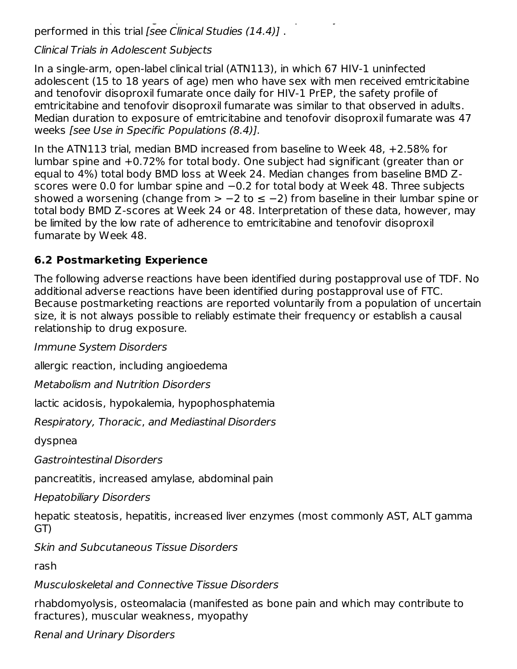treatment and placebo groups (0.8% and 0.6%, respectively); no BMD evaluations were performed in this trial [see Clinical Studies (14.4)] .

### Clinical Trials in Adolescent Subjects

In a single-arm, open-label clinical trial (ATN113), in which 67 HIV-1 uninfected adolescent (15 to 18 years of age) men who have sex with men received emtricitabine and tenofovir disoproxil fumarate once daily for HIV-1 PrEP, the safety profile of emtricitabine and tenofovir disoproxil fumarate was similar to that observed in adults. Median duration to exposure of emtricitabine and tenofovir disoproxil fumarate was 47 weeks [see Use in Specific Populations (8.4)].

In the ATN113 trial, median BMD increased from baseline to Week 48, +2.58% for lumbar spine and +0.72% for total body. One subject had significant (greater than or equal to 4%) total body BMD loss at Week 24. Median changes from baseline BMD Zscores were 0.0 for lumbar spine and −0.2 for total body at Week 48. Three subjects showed a worsening (change from > -2 to ≤ -2) from baseline in their lumbar spine or total body BMD Z-scores at Week 24 or 48. Interpretation of these data, however, may be limited by the low rate of adherence to emtricitabine and tenofovir disoproxil fumarate by Week 48.

# **6.2 Postmarketing Experience**

The following adverse reactions have been identified during postapproval use of TDF. No additional adverse reactions have been identified during postapproval use of FTC. Because postmarketing reactions are reported voluntarily from a population of uncertain size, it is not always possible to reliably estimate their frequency or establish a causal relationship to drug exposure.

Immune System Disorders

allergic reaction, including angioedema

Metabolism and Nutrition Disorders

lactic acidosis, hypokalemia, hypophosphatemia

Respiratory, Thoracic, and Mediastinal Disorders

dyspnea

Gastrointestinal Disorders

pancreatitis, increased amylase, abdominal pain

Hepatobiliary Disorders

hepatic steatosis, hepatitis, increased liver enzymes (most commonly AST, ALT gamma GT)

Skin and Subcutaneous Tissue Disorders

rash

Musculoskeletal and Connective Tissue Disorders

rhabdomyolysis, osteomalacia (manifested as bone pain and which may contribute to fractures), muscular weakness, myopathy

Renal and Urinary Disorders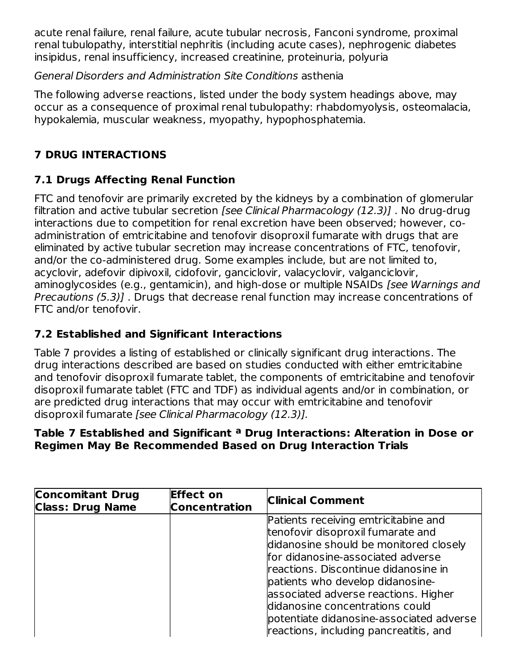acute renal failure, renal failure, acute tubular necrosis, Fanconi syndrome, proximal renal tubulopathy, interstitial nephritis (including acute cases), nephrogenic diabetes insipidus, renal insufficiency, increased creatinine, proteinuria, polyuria

# General Disorders and Administration Site Conditions asthenia

The following adverse reactions, listed under the body system headings above, may occur as a consequence of proximal renal tubulopathy: rhabdomyolysis, osteomalacia, hypokalemia, muscular weakness, myopathy, hypophosphatemia.

# **7 DRUG INTERACTIONS**

# **7.1 Drugs Affecting Renal Function**

FTC and tenofovir are primarily excreted by the kidneys by a combination of glomerular filtration and active tubular secretion *[see Clinical Pharmacology (12.3)]*. No drug-drug interactions due to competition for renal excretion have been observed; however, coadministration of emtricitabine and tenofovir disoproxil fumarate with drugs that are eliminated by active tubular secretion may increase concentrations of FTC, tenofovir, and/or the co-administered drug. Some examples include, but are not limited to, acyclovir, adefovir dipivoxil, cidofovir, ganciclovir, valacyclovir, valganciclovir, aminoglycosides (e.g., gentamicin), and high-dose or multiple NSAIDs [see Warnings and Precautions (5.3)] . Drugs that decrease renal function may increase concentrations of FTC and/or tenofovir.

# **7.2 Established and Significant Interactions**

Table 7 provides a listing of established or clinically significant drug interactions. The drug interactions described are based on studies conducted with either emtricitabine and tenofovir disoproxil fumarate tablet, the components of emtricitabine and tenofovir disoproxil fumarate tablet (FTC and TDF) as individual agents and/or in combination, or are predicted drug interactions that may occur with emtricitabine and tenofovir disoproxil fumarate [see Clinical Pharmacology (12.3)].

#### **Table 7 Established and Significant Drug Interactions: Alteration in Dose or aRegimen May Be Recommended Based on Drug Interaction Trials**

| <b>Concomitant Drug</b><br><b>Class: Drug Name</b> | <b>Effect on</b><br><b>Concentration</b> | <b>Clinical Comment</b>                  |
|----------------------------------------------------|------------------------------------------|------------------------------------------|
|                                                    |                                          | Patients receiving emtricitabine and     |
|                                                    |                                          | tenofovir disoproxil fumarate and        |
|                                                    |                                          | didanosine should be monitored closely   |
|                                                    |                                          | for didanosine-associated adverse        |
|                                                    |                                          | reactions. Discontinue didanosine in     |
|                                                    |                                          | patients who develop didanosine-         |
|                                                    |                                          | associated adverse reactions. Higher     |
|                                                    |                                          | didanosine concentrations could          |
|                                                    |                                          | potentiate didanosine-associated adverse |
|                                                    |                                          | reactions, including pancreatitis, and   |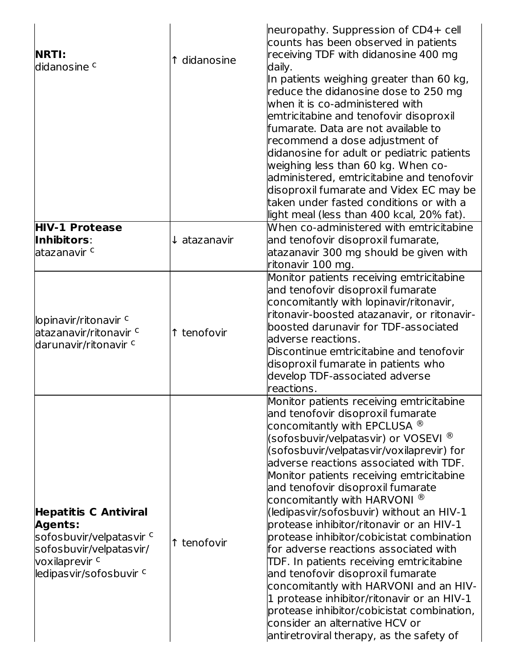| <b>NRTI:</b><br>ldidanosine <sup>c</sup>                                                                                                                      | 1 didanosine            | neuropathy. Suppression of CD4+ cell<br>counts has been observed in patients<br>receiving TDF with didanosine 400 mg<br>daily.<br>In patients weighing greater than 60 kg,<br>reduce the didanosine dose to 250 mg<br>when it is co-administered with<br>emtricitabine and tenofovir disoproxil<br>lfumarate. Data are not available to<br>recommend a dose adjustment of<br>didanosine for adult or pediatric patients<br>weighing less than 60 kg. When co-<br>administered, emtricitabine and tenofovir<br>disoproxil fumarate and Videx EC may be<br>taken under fasted conditions or with a<br>light meal (less than 400 kcal, 20% fat).                                                                                                                                                                                                                                       |
|---------------------------------------------------------------------------------------------------------------------------------------------------------------|-------------------------|-------------------------------------------------------------------------------------------------------------------------------------------------------------------------------------------------------------------------------------------------------------------------------------------------------------------------------------------------------------------------------------------------------------------------------------------------------------------------------------------------------------------------------------------------------------------------------------------------------------------------------------------------------------------------------------------------------------------------------------------------------------------------------------------------------------------------------------------------------------------------------------|
| <b>HIV-1 Protease</b><br>Inhibitors:<br>latazanavir <sup>c</sup>                                                                                              | $\downarrow$ atazanavir | When co-administered with emtricitabine<br>and tenofovir disoproxil fumarate,<br>atazanavir 300 mg should be given with<br>ritonavir 100 mg.                                                                                                                                                                                                                                                                                                                                                                                                                                                                                                                                                                                                                                                                                                                                        |
| lopinavir/ritonavir c<br>atazanavir/ritonavir <sup>c</sup><br>darunavir/ritonavir <sup>c</sup>                                                                | ↑ tenofovir             | Monitor patients receiving emtricitabine<br>and tenofovir disoproxil fumarate<br>concomitantly with lopinavir/ritonavir,<br>ritonavir-boosted atazanavir, or ritonavir-<br>boosted darunavir for TDF-associated<br>adverse reactions.<br>Discontinue emtricitabine and tenofovir<br>disoproxil fumarate in patients who<br>develop TDF-associated adverse<br>reactions.                                                                                                                                                                                                                                                                                                                                                                                                                                                                                                             |
| <b>Hepatitis C Antiviral</b><br><b>Agents:</b><br>sofosbuvir/velpatasvir <sup>c</sup><br>sofosbuvir/velpatasvir/<br>voxilaprevir c<br>ledipasvir/sofosbuvir c | ↑ tenofovir             | Monitor patients receiving emtricitabine<br>and tenofovir disoproxil fumarate<br>concomitantly with EPCLUSA $^\circledR$<br>(sofosbuvir/velpatasvir) or VOSEVI $^\circledR$<br>(sofosbuvir/velpatasvir/voxilaprevir) for<br>adverse reactions associated with TDF.<br>Monitor patients receiving emtricitabine<br>and tenofovir disoproxil fumarate<br>concomitantly with HARVONI $^{\circledR}$<br>(ledipasvir/sofosbuvir) without an HIV-1<br>protease inhibitor/ritonavir or an HIV-1<br>protease inhibitor/cobicistat combination<br>for adverse reactions associated with<br>TDF. In patients receiving emtricitabine<br>and tenofovir disoproxil fumarate<br>concomitantly with HARVONI and an HIV-<br>1 protease inhibitor/ritonavir or an HIV-1<br>protease inhibitor/cobicistat combination,<br>consider an alternative HCV or<br>antiretroviral therapy, as the safety of |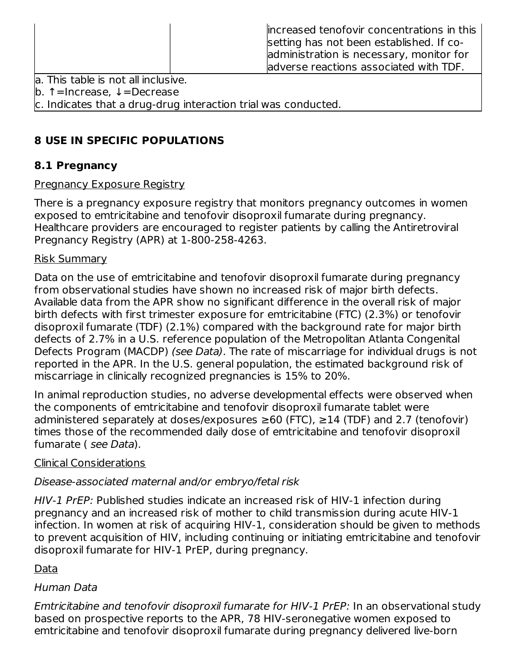|      | increased tenofovir concentrations in this<br>setting has not been established. If co-<br>administration is necessary, monitor for<br>adverse reactions associated with TDF. |
|------|------------------------------------------------------------------------------------------------------------------------------------------------------------------------------|
| -- - |                                                                                                                                                                              |

la. This table is not all inclusive.

b. ↑=Increase, ↓=Decrease

c. Indicates that a drug-drug interaction trial was conducted.

# **8 USE IN SPECIFIC POPULATIONS**

# **8.1 Pregnancy**

# Pregnancy Exposure Registry

There is a pregnancy exposure registry that monitors pregnancy outcomes in women exposed to emtricitabine and tenofovir disoproxil fumarate during pregnancy. Healthcare providers are encouraged to register patients by calling the Antiretroviral Pregnancy Registry (APR) at 1-800-258-4263.

# Risk Summary

Data on the use of emtricitabine and tenofovir disoproxil fumarate during pregnancy from observational studies have shown no increased risk of major birth defects. Available data from the APR show no significant difference in the overall risk of major birth defects with first trimester exposure for emtricitabine (FTC) (2.3%) or tenofovir disoproxil fumarate (TDF) (2.1%) compared with the background rate for major birth defects of 2.7% in a U.S. reference population of the Metropolitan Atlanta Congenital Defects Program (MACDP) (see Data). The rate of miscarriage for individual drugs is not reported in the APR. In the U.S. general population, the estimated background risk of miscarriage in clinically recognized pregnancies is 15% to 20%.

In animal reproduction studies, no adverse developmental effects were observed when the components of emtricitabine and tenofovir disoproxil fumarate tablet were administered separately at doses/exposures  $\geq 60$  (FTC),  $\geq 14$  (TDF) and 2.7 (tenofovir) times those of the recommended daily dose of emtricitabine and tenofovir disoproxil fumarate ( see Data).

# Clinical Considerations

# Disease-associated maternal and/or embryo/fetal risk

HIV-1 PrEP: Published studies indicate an increased risk of HIV-1 infection during pregnancy and an increased risk of mother to child transmission during acute HIV-1 infection. In women at risk of acquiring HIV-1, consideration should be given to methods to prevent acquisition of HIV, including continuing or initiating emtricitabine and tenofovir disoproxil fumarate for HIV-1 PrEP, during pregnancy.

# Data

# Human Data

Emtricitabine and tenofovir disoproxil fumarate for HIV-1 PrEP: In an observational study based on prospective reports to the APR, 78 HIV-seronegative women exposed to emtricitabine and tenofovir disoproxil fumarate during pregnancy delivered live-born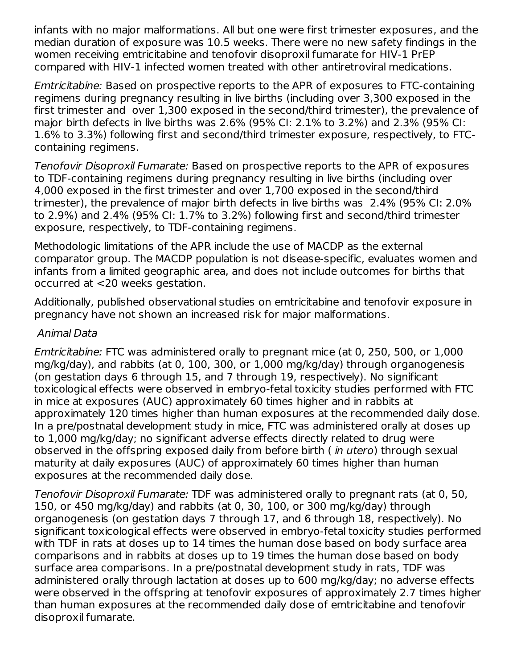infants with no major malformations. All but one were first trimester exposures, and the median duration of exposure was 10.5 weeks. There were no new safety findings in the women receiving emtricitabine and tenofovir disoproxil fumarate for HIV-1 PrEP compared with HIV-1 infected women treated with other antiretroviral medications.

Emtricitabine: Based on prospective reports to the APR of exposures to FTC-containing regimens during pregnancy resulting in live births (including over 3,300 exposed in the first trimester and over 1,300 exposed in the second/third trimester), the prevalence of major birth defects in live births was 2.6% (95% CI: 2.1% to 3.2%) and 2.3% (95% CI: 1.6% to 3.3%) following first and second/third trimester exposure, respectively, to FTCcontaining regimens.

Tenofovir Disoproxil Fumarate: Based on prospective reports to the APR of exposures to TDF-containing regimens during pregnancy resulting in live births (including over 4,000 exposed in the first trimester and over 1,700 exposed in the second/third trimester), the prevalence of major birth defects in live births was 2.4% (95% CI: 2.0% to 2.9%) and 2.4% (95% CI: 1.7% to 3.2%) following first and second/third trimester exposure, respectively, to TDF-containing regimens.

Methodologic limitations of the APR include the use of MACDP as the external comparator group. The MACDP population is not disease-specific, evaluates women and infants from a limited geographic area, and does not include outcomes for births that occurred at <20 weeks gestation.

Additionally, published observational studies on emtricitabine and tenofovir exposure in pregnancy have not shown an increased risk for major malformations.

#### Animal Data

Emtricitabine: FTC was administered orally to pregnant mice (at 0, 250, 500, or 1,000 mg/kg/day), and rabbits (at 0, 100, 300, or 1,000 mg/kg/day) through organogenesis (on gestation days 6 through 15, and 7 through 19, respectively). No significant toxicological effects were observed in embryo-fetal toxicity studies performed with FTC in mice at exposures (AUC) approximately 60 times higher and in rabbits at approximately 120 times higher than human exposures at the recommended daily dose. In a pre/postnatal development study in mice, FTC was administered orally at doses up to 1,000 mg/kg/day; no significant adverse effects directly related to drug were observed in the offspring exposed daily from before birth (*in utero*) through sexual maturity at daily exposures (AUC) of approximately 60 times higher than human exposures at the recommended daily dose.

Tenofovir Disoproxil Fumarate: TDF was administered orally to pregnant rats (at 0, 50, 150, or 450 mg/kg/day) and rabbits (at 0, 30, 100, or 300 mg/kg/day) through organogenesis (on gestation days 7 through 17, and 6 through 18, respectively). No significant toxicological effects were observed in embryo-fetal toxicity studies performed with TDF in rats at doses up to 14 times the human dose based on body surface area comparisons and in rabbits at doses up to 19 times the human dose based on body surface area comparisons. In a pre/postnatal development study in rats, TDF was administered orally through lactation at doses up to 600 mg/kg/day; no adverse effects were observed in the offspring at tenofovir exposures of approximately 2.7 times higher than human exposures at the recommended daily dose of emtricitabine and tenofovir disoproxil fumarate.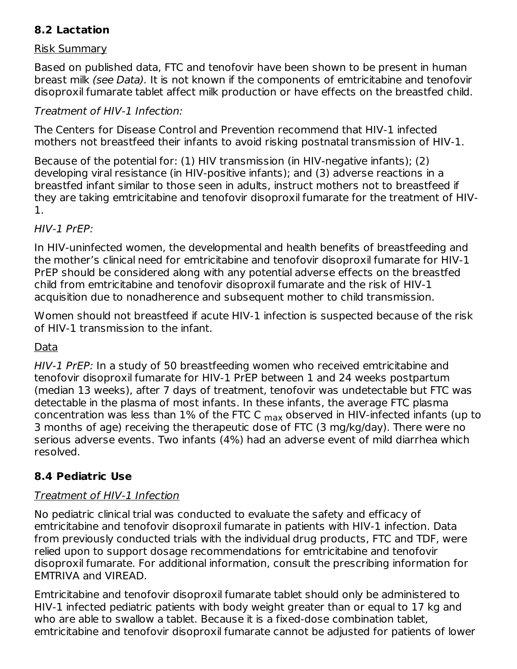# **8.2 Lactation**

#### Risk Summary

Based on published data, FTC and tenofovir have been shown to be present in human breast milk (see Data). It is not known if the components of emtricitabine and tenofovir disoproxil fumarate tablet affect milk production or have effects on the breastfed child.

### Treatment of HIV-1 Infection:

The Centers for Disease Control and Prevention recommend that HIV-1 infected mothers not breastfeed their infants to avoid risking postnatal transmission of HIV-1.

Because of the potential for: (1) HIV transmission (in HIV-negative infants); (2) developing viral resistance (in HIV-positive infants); and (3) adverse reactions in a breastfed infant similar to those seen in adults, instruct mothers not to breastfeed if they are taking emtricitabine and tenofovir disoproxil fumarate for the treatment of HIV-1.

#### HIV-1 PrEP:

In HIV-uninfected women, the developmental and health benefits of breastfeeding and the mother's clinical need for emtricitabine and tenofovir disoproxil fumarate for HIV-1 PrEP should be considered along with any potential adverse effects on the breastfed child from emtricitabine and tenofovir disoproxil fumarate and the risk of HIV-1 acquisition due to nonadherence and subsequent mother to child transmission.

Women should not breastfeed if acute HIV-1 infection is suspected because of the risk of HIV-1 transmission to the infant.

# Data

HIV-1 PrEP: In a study of 50 breastfeeding women who received emtricitabine and tenofovir disoproxil fumarate for HIV-1 PrEP between 1 and 24 weeks postpartum (median 13 weeks), after 7 days of treatment, tenofovir was undetectable but FTC was detectable in the plasma of most infants. In these infants, the average FTC plasma concentration was less than  $1\%$  of the FTC C  $_{\sf max}$  observed in HIV-infected infants (up to 3 months of age) receiving the therapeutic dose of FTC (3 mg/kg/day). There were no serious adverse events. Two infants (4%) had an adverse event of mild diarrhea which resolved.

# **8.4 Pediatric Use**

# Treatment of HIV-1 Infection

No pediatric clinical trial was conducted to evaluate the safety and efficacy of emtricitabine and tenofovir disoproxil fumarate in patients with HIV-1 infection. Data from previously conducted trials with the individual drug products, FTC and TDF, were relied upon to support dosage recommendations for emtricitabine and tenofovir disoproxil fumarate. For additional information, consult the prescribing information for EMTRIVA and VIREAD.

Emtricitabine and tenofovir disoproxil fumarate tablet should only be administered to HIV-1 infected pediatric patients with body weight greater than or equal to 17 kg and who are able to swallow a tablet. Because it is a fixed-dose combination tablet. emtricitabine and tenofovir disoproxil fumarate cannot be adjusted for patients of lower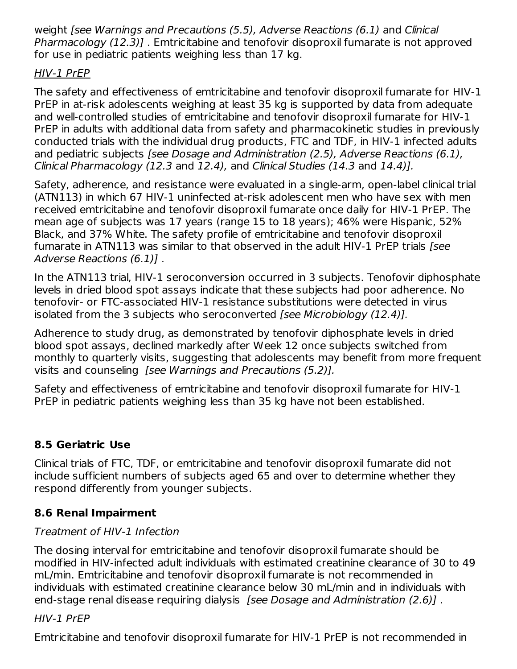weight [see Warnings and Precautions (5.5), Adverse Reactions (6.1) and Clinical Pharmacology (12.3)]. Emtricitabine and tenofovir disoproxil fumarate is not approved for use in pediatric patients weighing less than 17 kg.

# HIV-1 PrEP

The safety and effectiveness of emtricitabine and tenofovir disoproxil fumarate for HIV-1 PrEP in at-risk adolescents weighing at least 35 kg is supported by data from adequate and well-controlled studies of emtricitabine and tenofovir disoproxil fumarate for HIV-1 PrEP in adults with additional data from safety and pharmacokinetic studies in previously conducted trials with the individual drug products, FTC and TDF, in HIV-1 infected adults and pediatric subjects [see Dosage and Administration (2.5), Adverse Reactions (6.1), Clinical Pharmacology (12.3 and 12.4), and Clinical Studies (14.3 and 14.4)].

Safety, adherence, and resistance were evaluated in a single-arm, open-label clinical trial (ATN113) in which 67 HIV-1 uninfected at-risk adolescent men who have sex with men received emtricitabine and tenofovir disoproxil fumarate once daily for HIV-1 PrEP. The mean age of subjects was 17 years (range 15 to 18 years); 46% were Hispanic, 52% Black, and 37% White. The safety profile of emtricitabine and tenofovir disoproxil fumarate in ATN113 was similar to that observed in the adult HIV-1 PrEP trials [see Adverse Reactions (6.1)] .

In the ATN113 trial, HIV-1 seroconversion occurred in 3 subjects. Tenofovir diphosphate levels in dried blood spot assays indicate that these subjects had poor adherence. No tenofovir- or FTC-associated HIV-1 resistance substitutions were detected in virus isolated from the 3 subjects who seroconverted [see Microbiology (12.4)].

Adherence to study drug, as demonstrated by tenofovir diphosphate levels in dried blood spot assays, declined markedly after Week 12 once subjects switched from monthly to quarterly visits, suggesting that adolescents may benefit from more frequent visits and counseling [see Warnings and Precautions (5.2)].

Safety and effectiveness of emtricitabine and tenofovir disoproxil fumarate for HIV-1 PrEP in pediatric patients weighing less than 35 kg have not been established.

# **8.5 Geriatric Use**

Clinical trials of FTC, TDF, or emtricitabine and tenofovir disoproxil fumarate did not include sufficient numbers of subjects aged 65 and over to determine whether they respond differently from younger subjects.

# **8.6 Renal Impairment**

# Treatment of HIV-1 Infection

The dosing interval for emtricitabine and tenofovir disoproxil fumarate should be modified in HIV-infected adult individuals with estimated creatinine clearance of 30 to 49 mL/min. Emtricitabine and tenofovir disoproxil fumarate is not recommended in individuals with estimated creatinine clearance below 30 mL/min and in individuals with end-stage renal disease requiring dialysis [see Dosage and Administration (2.6)].

# HIV-1 PrEP

Emtricitabine and tenofovir disoproxil fumarate for HIV-1 PrEP is not recommended in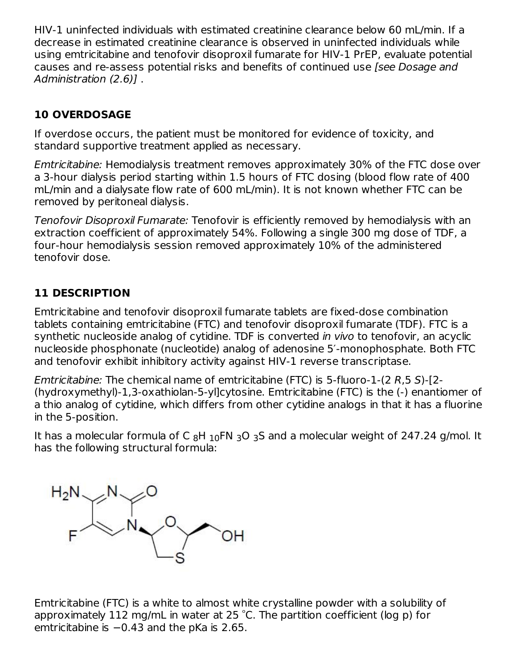HIV-1 uninfected individuals with estimated creatinine clearance below 60 mL/min. If a decrease in estimated creatinine clearance is observed in uninfected individuals while using emtricitabine and tenofovir disoproxil fumarate for HIV-1 PrEP, evaluate potential causes and re-assess potential risks and benefits of continued use [see Dosage and Administration (2.6)].

# **10 OVERDOSAGE**

If overdose occurs, the patient must be monitored for evidence of toxicity, and standard supportive treatment applied as necessary.

Emtricitabine: Hemodialysis treatment removes approximately 30% of the FTC dose over a 3-hour dialysis period starting within 1.5 hours of FTC dosing (blood flow rate of 400 mL/min and a dialysate flow rate of 600 mL/min). It is not known whether FTC can be removed by peritoneal dialysis.

Tenofovir Disoproxil Fumarate: Tenofovir is efficiently removed by hemodialysis with an extraction coefficient of approximately 54%. Following a single 300 mg dose of TDF, a four-hour hemodialysis session removed approximately 10% of the administered tenofovir dose.

# **11 DESCRIPTION**

Emtricitabine and tenofovir disoproxil fumarate tablets are fixed-dose combination tablets containing emtricitabine (FTC) and tenofovir disoproxil fumarate (TDF). FTC is a synthetic nucleoside analog of cytidine. TDF is converted in vivo to tenofovir, an acyclic nucleoside phosphonate (nucleotide) analog of adenosine 5′-monophosphate. Both FTC and tenofovir exhibit inhibitory activity against HIV-1 reverse transcriptase.

Emtricitabine: The chemical name of emtricitabine (FTC) is 5-fluoro-1-(2 R,5 S)-[2- (hydroxymethyl)-1,3-oxathiolan-5-yl]cytosine. Emtricitabine (FTC) is the (-) enantiomer of a thio analog of cytidine, which differs from other cytidine analogs in that it has a fluorine in the 5-position.

It has a molecular formula of C  $_8\text{H}_{10}\text{FN}_3$ O  $_3\text{S}$  and a molecular weight of 247.24 g/mol. It has the following structural formula:



Emtricitabine (FTC) is a white to almost white crystalline powder with a solubility of approximately 112 mg/mL in water at 25  $^{\circ}$ C. The partition coefficient (log p) for emtricitabine is −0.43 and the pKa is 2.65.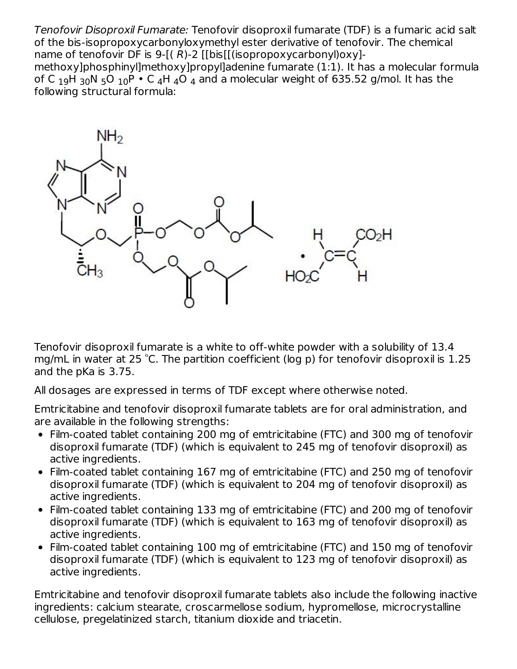Tenofovir Disoproxil Fumarate: Tenofovir disoproxil fumarate (TDF) is a fumaric acid salt of the bis-isopropoxycarbonyloxymethyl ester derivative of tenofovir. The chemical name of tenofovir DF is  $9-[R-2]$  [[bis][(isopropoxycarbonyl)oxy]methoxy]phosphinyl]methoxy]propyl]adenine fumarate (1:1). It has a molecular formula of C  $_{19}$ H  $_{30}$ N  $_{5}$ O  $_{10}$ P  $\cdot$  C  $_{4}$ H  $_{4}$ O  $_{4}$  and a molecular weight of 635.52 g/mol. It has the following structural formula:



Tenofovir disoproxil fumarate is a white to off-white powder with a solubility of 13.4 mg/mL in water at 25 °C. The partition coefficient (log p) for tenofovir disoproxil is  $1.25$ and the pKa is 3.75.

All dosages are expressed in terms of TDF except where otherwise noted.

Emtricitabine and tenofovir disoproxil fumarate tablets are for oral administration, and are available in the following strengths:

- Film-coated tablet containing 200 mg of emtricitabine (FTC) and 300 mg of tenofovir disoproxil fumarate (TDF) (which is equivalent to 245 mg of tenofovir disoproxil) as active ingredients.
- Film-coated tablet containing 167 mg of emtricitabine (FTC) and 250 mg of tenofovir disoproxil fumarate (TDF) (which is equivalent to 204 mg of tenofovir disoproxil) as active ingredients.
- Film-coated tablet containing 133 mg of emtricitabine (FTC) and 200 mg of tenofovir disoproxil fumarate (TDF) (which is equivalent to 163 mg of tenofovir disoproxil) as active ingredients.
- Film-coated tablet containing 100 mg of emtricitabine (FTC) and 150 mg of tenofovir disoproxil fumarate (TDF) (which is equivalent to 123 mg of tenofovir disoproxil) as active ingredients.

Emtricitabine and tenofovir disoproxil fumarate tablets also include the following inactive ingredients: calcium stearate, croscarmellose sodium, hypromellose, microcrystalline cellulose, pregelatinized starch, titanium dioxide and triacetin.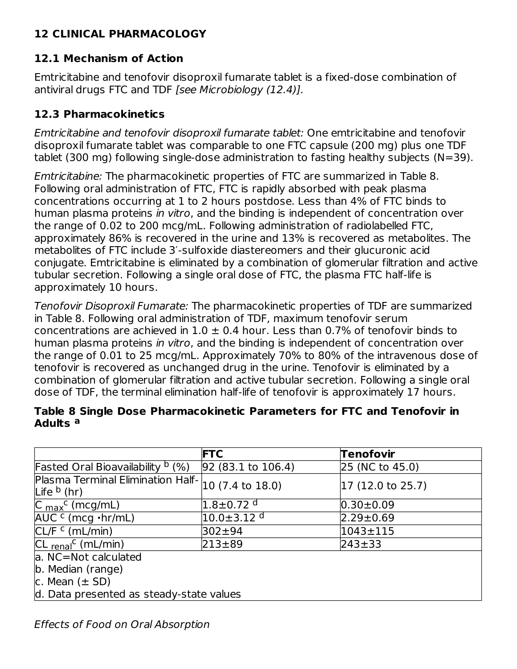# **12 CLINICAL PHARMACOLOGY**

# **12.1 Mechanism of Action**

Emtricitabine and tenofovir disoproxil fumarate tablet is a fixed-dose combination of antiviral drugs FTC and TDF [see Microbiology (12.4)].

### **12.3 Pharmacokinetics**

Emtricitabine and tenofovir disoproxil fumarate tablet: One emtricitabine and tenofovir disoproxil fumarate tablet was comparable to one FTC capsule (200 mg) plus one TDF tablet (300 mg) following single-dose administration to fasting healthy subjects (N=39).

Emtricitabine: The pharmacokinetic properties of FTC are summarized in Table 8. Following oral administration of FTC, FTC is rapidly absorbed with peak plasma concentrations occurring at 1 to 2 hours postdose. Less than 4% of FTC binds to human plasma proteins in vitro, and the binding is independent of concentration over the range of 0.02 to 200 mcg/mL. Following administration of radiolabelled FTC, approximately 86% is recovered in the urine and 13% is recovered as metabolites. The metabolites of FTC include 3′-sulfoxide diastereomers and their glucuronic acid conjugate. Emtricitabine is eliminated by a combination of glomerular filtration and active tubular secretion. Following a single oral dose of FTC, the plasma FTC half-life is approximately 10 hours.

Tenofovir Disoproxil Fumarate: The pharmacokinetic properties of TDF are summarized in Table 8. Following oral administration of TDF, maximum tenofovir serum concentrations are achieved in  $1.0 \pm 0.4$  hour. Less than 0.7% of tenofovir binds to human plasma proteins in vitro, and the binding is independent of concentration over the range of 0.01 to 25 mcg/mL. Approximately 70% to 80% of the intravenous dose of tenofovir is recovered as unchanged drug in the urine. Tenofovir is eliminated by a combination of glomerular filtration and active tubular secretion. Following a single oral dose of TDF, the terminal elimination half-life of tenofovir is approximately 17 hours.

#### **Table 8 Single Dose Pharmacokinetic Parameters for FTC and Tenofovir in Adults a**

|                                                                     | <b>FTC</b>                   | <b>Tenofovir</b>                   |
|---------------------------------------------------------------------|------------------------------|------------------------------------|
| <b>Fasted Oral Bioavailability b (%)</b>                            | $92(83.1 \text{ to } 106.4)$ | 25 (NC to 45.0)                    |
| Plasma Terminal Elimination Half- 10 (7.4 to 18.0)<br>Life $b$ (hr) |                              | $ 17 \ (12.0 \ \text{to} \ 25.7) $ |
| $C_{\text{max}}^{\text{c}}$ (mcg/mL)                                | $1.8 \pm 0.72$ <sup>d</sup>  | $0.30 \pm 0.09$                    |
| $AUCc$ (mcg $\cdot$ hr/mL)                                          | $10.0 \pm 3.12$ d            | $2.29 \pm 0.69$                    |
| CL/F <sup>C</sup> (mL/min)                                          | 302±94                       | l1043±115                          |
| $CL$ renal <sup>c</sup> (mL/min)                                    | $213 + 89$                   | $243 + 33$                         |
| a. NC=Not calculated                                                |                              |                                    |
| b. Median (range)                                                   |                              |                                    |
| c. Mean $(\pm SD)$                                                  |                              |                                    |
| d. Data presented as steady-state values                            |                              |                                    |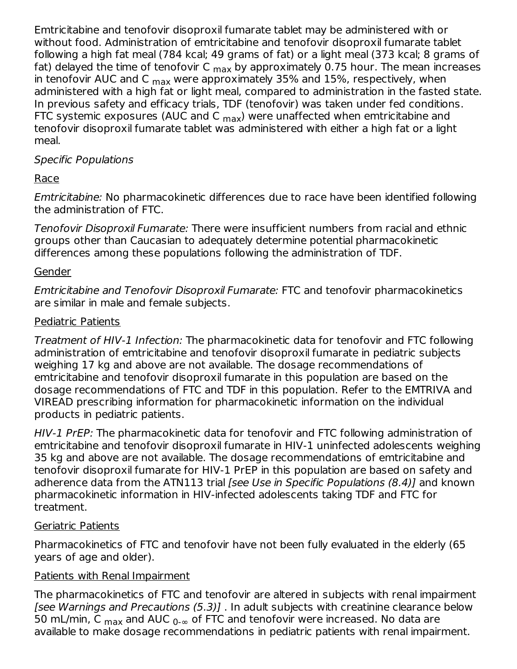Emtricitabine and tenofovir disoproxil fumarate tablet may be administered with or without food. Administration of emtricitabine and tenofovir disoproxil fumarate tablet following a high fat meal (784 kcal; 49 grams of fat) or a light meal (373 kcal; 8 grams of fat) delayed the time of tenofovir C <sub>max</sub> by approximately 0.75 hour. The mean increases in tenofovir AUC and C <sub>max</sub> were approximately 35% and 15%, respectively, when administered with a high fat or light meal, compared to administration in the fasted state. In previous safety and efficacy trials, TDF (tenofovir) was taken under fed conditions. FTC systemic exposures (AUC and C <sub>max</sub>) were unaffected when emtricitabine and tenofovir disoproxil fumarate tablet was administered with either a high fat or a light meal.

### Specific Populations

# Race

Emtricitabine: No pharmacokinetic differences due to race have been identified following the administration of FTC.

Tenofovir Disoproxil Fumarate: There were insufficient numbers from racial and ethnic groups other than Caucasian to adequately determine potential pharmacokinetic differences among these populations following the administration of TDF.

### Gender

Emtricitabine and Tenofovir Disoproxil Fumarate: FTC and tenofovir pharmacokinetics are similar in male and female subjects.

### Pediatric Patients

Treatment of HIV-1 Infection: The pharmacokinetic data for tenofovir and FTC following administration of emtricitabine and tenofovir disoproxil fumarate in pediatric subjects weighing 17 kg and above are not available. The dosage recommendations of emtricitabine and tenofovir disoproxil fumarate in this population are based on the dosage recommendations of FTC and TDF in this population. Refer to the EMTRIVA and VIREAD prescribing information for pharmacokinetic information on the individual products in pediatric patients.

HIV-1 PrEP: The pharmacokinetic data for tenofovir and FTC following administration of emtricitabine and tenofovir disoproxil fumarate in HIV-1 uninfected adolescents weighing 35 kg and above are not available. The dosage recommendations of emtricitabine and tenofovir disoproxil fumarate for HIV-1 PrEP in this population are based on safety and adherence data from the ATN113 trial [see Use in Specific Populations (8.4)] and known pharmacokinetic information in HIV-infected adolescents taking TDF and FTC for treatment.

#### Geriatric Patients

Pharmacokinetics of FTC and tenofovir have not been fully evaluated in the elderly (65 years of age and older).

#### Patients with Renal Impairment

The pharmacokinetics of FTC and tenofovir are altered in subjects with renal impairment [see Warnings and Precautions (5.3)] . In adult subjects with creatinine clearance below 50 mL/min, C  $_{\mathsf{max}}$  and AUC  $_{0\text{-}\infty}$  of FTC and tenofovir were increased. No data are available to make dosage recommendations in pediatric patients with renal impairment.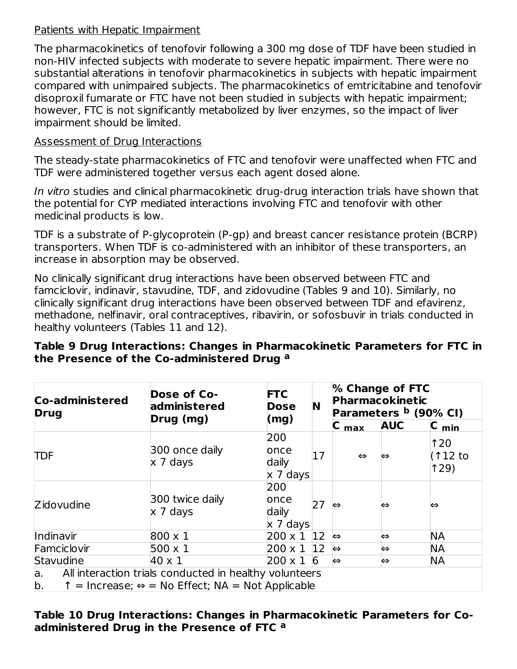#### Patients with Hepatic Impairment

The pharmacokinetics of tenofovir following a 300 mg dose of TDF have been studied in non-HIV infected subjects with moderate to severe hepatic impairment. There were no substantial alterations in tenofovir pharmacokinetics in subjects with hepatic impairment compared with unimpaired subjects. The pharmacokinetics of emtricitabine and tenofovir disoproxil fumarate or FTC have not been studied in subjects with hepatic impairment; however, FTC is not significantly metabolized by liver enzymes, so the impact of liver impairment should be limited.

#### Assessment of Drug Interactions

The steady-state pharmacokinetics of FTC and tenofovir were unaffected when FTC and TDF were administered together versus each agent dosed alone.

In vitro studies and clinical pharmacokinetic drug-drug interaction trials have shown that the potential for CYP mediated interactions involving FTC and tenofovir with other medicinal products is low.

TDF is a substrate of P-glycoprotein (P-gp) and breast cancer resistance protein (BCRP) transporters. When TDF is co-administered with an inhibitor of these transporters, an increase in absorption may be observed.

No clinically significant drug interactions have been observed between FTC and famciclovir, indinavir, stavudine, TDF, and zidovudine (Tables 9 and 10). Similarly, no clinically significant drug interactions have been observed between TDF and efavirenz, methadone, nelfinavir, oral contraceptives, ribavirin, or sofosbuvir in trials conducted in healthy volunteers (Tables 11 and 12).

#### **Table 9 Drug Interactions: Changes in Pharmacokinetic Parameters for FTC in the Presence of the Co-administered Drug a**

| <b>Co-administered</b><br><b>Drug</b>                                                                                                           | Dose of Co-<br>administered<br>Drug (mg) | <b>FTC</b><br><b>Dose</b><br>(mg)       | N            |                   | % Change of FTC<br>Pharmacokinetic<br>Parameters <sup>b</sup> (90% CI) |                               |
|-------------------------------------------------------------------------------------------------------------------------------------------------|------------------------------------------|-----------------------------------------|--------------|-------------------|------------------------------------------------------------------------|-------------------------------|
|                                                                                                                                                 |                                          |                                         |              | $C_{\text{max}}$  | <b>AUC</b>                                                             | $C_{min}$                     |
| <b>TDF</b>                                                                                                                                      | 300 once daily<br>$\times$ 7 days        | 200<br>once<br>daily<br>$x$ 7 days      | 17           | $\Leftrightarrow$ | $\Leftrightarrow$                                                      | $\uparrow$ 20<br>(112)<br>129 |
| <b>Zidovudine</b>                                                                                                                               | 300 twice daily<br>x 7 days              | 200<br>once<br>daily<br>$\times$ 7 days | 27           | $\Leftrightarrow$ | ⇔                                                                      | ⇔                             |
| Indinavir                                                                                                                                       | $800 \times 1$                           | $200 \times 1$                          | $ 12\rangle$ | $\Leftrightarrow$ | $\Leftrightarrow$                                                      | <b>NA</b>                     |
| Famciclovir                                                                                                                                     | $500 \times 1$                           | $200 \times 1$                          | $ 12\rangle$ | $\Leftrightarrow$ | ⇔                                                                      | <b>NA</b>                     |
| Stavudine                                                                                                                                       | $40 \times 1$                            | $200 \times 1$                          | 6            | $\Leftrightarrow$ | $\Leftrightarrow$                                                      | <b>NA</b>                     |
| All interaction trials conducted in healthy volunteers<br>а.<br>$\uparrow$ = Increase; $\Leftrightarrow$ = No Effect; NA = Not Applicable<br>b. |                                          |                                         |              |                   |                                                                        |                               |

#### **Table 10 Drug Interactions: Changes in Pharmacokinetic Parameters for Coadministered Drug in the Presence of FTC a**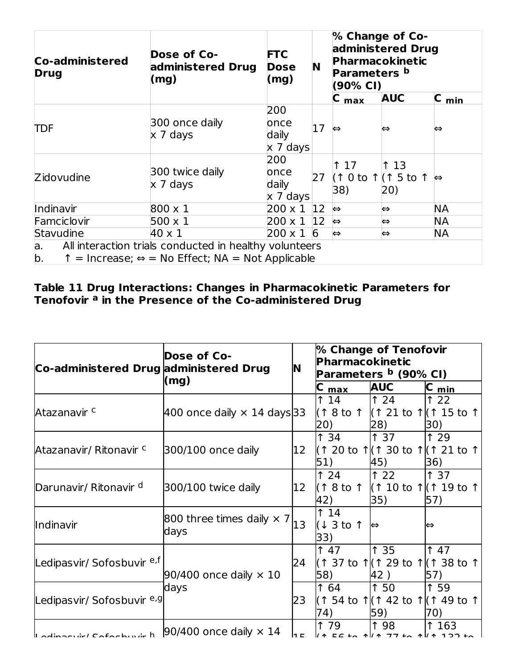| Co-administered<br><b>Drug</b>                                                                                                                  | <b>Dose of Co-</b><br>administered Drug<br>(mg) | <b>FTC</b><br><b>Dose</b><br>(mg)       | N               | % Change of Co-<br>administered Drug<br>Pharmacokinetic<br>Parameters b<br>(90% CI) |                                                   |                   |
|-------------------------------------------------------------------------------------------------------------------------------------------------|-------------------------------------------------|-----------------------------------------|-----------------|-------------------------------------------------------------------------------------|---------------------------------------------------|-------------------|
|                                                                                                                                                 |                                                 |                                         |                 | C<br>max                                                                            | <b>AUC</b>                                        | $C_{min}$         |
| <b>TDF</b>                                                                                                                                      | 300 once daily<br>x 7 days                      | 200<br>once<br>daily<br>x 7 days        | 17              | $\Leftrightarrow$                                                                   | ⇔                                                 | ⇔                 |
| Zidovudine                                                                                                                                      | 300 twice daily<br>$x$ 7 days                   | 200<br>once<br>daily<br>$\times$ 7 days | 27              | 1 17<br>38)                                                                         | $\uparrow$ 13<br>$($ ↑ 0 to ↑ $($ ↑ 5 to ↑<br>20) | $\Leftrightarrow$ |
| Indinavir                                                                                                                                       | $800 \times 1$                                  | $200 \times 1$ 12                       |                 | $\Leftrightarrow$                                                                   | $\Leftrightarrow$                                 | <b>NA</b>         |
| Famciclovir                                                                                                                                     | $500 \times 1$                                  | $ 200 \times 1 $ 12                     |                 | ⇔                                                                                   | $\Leftrightarrow$                                 | NA                |
| Stavudine                                                                                                                                       | 40 x 1                                          | $200 \times 1$                          | $6\overline{6}$ | $\Leftrightarrow$                                                                   | ⇔                                                 | <b>NA</b>         |
| All interaction trials conducted in healthy volunteers<br>a.<br>b.<br>$\uparrow$ = Increase; $\Leftrightarrow$ = No Effect; NA = Not Applicable |                                                 |                                         |                 |                                                                                     |                                                   |                   |

#### **Table 11 Drug Interactions: Changes in Pharmacokinetic Parameters for Tenofovir in the Presence of the Co-administered Drug a**

| Co-administered Drug administered Drug                              | Dose of Co-<br><b>N</b>                  |              | % Change of Tenofovir<br>Pharmacokinetic<br>Parameters <sup>b</sup> (90% CI) |                      |                                                            |  |
|---------------------------------------------------------------------|------------------------------------------|--------------|------------------------------------------------------------------------------|----------------------|------------------------------------------------------------|--|
|                                                                     | (mg)                                     |              | C <sub>max</sub>                                                             | <b>AUC</b>           | $ C_{min} $                                                |  |
| Atazanavir c                                                        | 400 once daily $\times$ 14 days 33       |              | 1 14<br>20)                                                                  | $\uparrow$ 24<br>28) | 122<br>$($ ↑ 8 to ↑ $($ ↑ 21 to ↑ $($ ↑ 15 to ↑<br>30)     |  |
| Atazanavir/ Ritonavir <sup>c</sup>                                  | $ 300/100$ once daily                    | $ 12\rangle$ | 1 34<br>51)                                                                  | lî 37<br>45)         | ↑ 29<br> (↑ 20 to ↑ (↑ 30 to ↑ (↑ 21 to ↑)<br>36)          |  |
| Darunavir/ Ritonavir <sup>d</sup>                                   | 300/100 twice daily                      | 12           | 124<br>42)                                                                   | $\uparrow$ 22<br>35) | 137<br> (↑8 to ↑  (↑ 10 to ↑ (↑ 19 to ↑ <br>57)            |  |
| Indinavir                                                           | 800 three times daily $\times$ 7<br>days | 13           | $\uparrow$ 14<br>(13 to 1)<br>33)                                            | $\Leftrightarrow$    | ⇔                                                          |  |
| Ledipasvir/ Sofosbuvir <sup>e,f</sup>                               | 90/400 once daily $\times$ 10            | 24           | 147<br>58)                                                                   | $\uparrow$ 35<br>42) | $\uparrow$ 47<br> (↑ 37 to ↑ (↑ 29 to ↑ (↑ 38 to ↑ <br>57) |  |
| Ledipasvir/ Sofosbuvir <sup>e,g</sup> l                             | days<br>23                               |              | 1 64<br>74)                                                                  | $\uparrow$ 50<br>59) | ↑ 59<br> (↑ 54 to ↑ (↑ 42 to ↑ (↑ 49 to ↑ <br>70)          |  |
| $\frac{1}{2}$ collective Cofochride h 90/400 once daily $\times$ 14 |                                          | Inici        | 1 79                                                                         | ↑ 98                 | 1 163                                                      |  |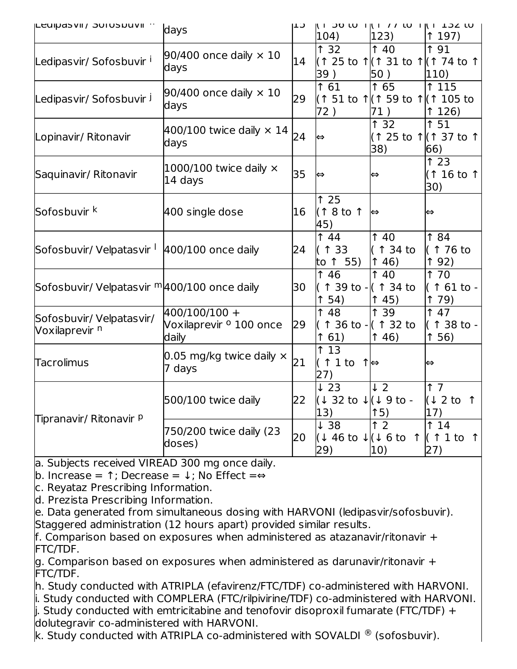| <b>Leuipasvii / JUIUSDUVII</b> ··                        | days                                                         | כ⊤ו | 104)                                                                | ון ו טוער ווא ווי ווי דאד וח<br>123)                       | 197)                                   |
|----------------------------------------------------------|--------------------------------------------------------------|-----|---------------------------------------------------------------------|------------------------------------------------------------|----------------------------------------|
| Ledipasvir/Sofosbuvir <sup>1</sup>                       | 90/400 once daily $\times$ 10<br>days                        | 14  | 132<br>39)                                                          | $\uparrow$ 40<br>1 (↑ 25 to ↑ (↑ 31 to ↑ (↑ 74 to ↑<br>50) | <b>191</b><br>110)                     |
| Ledipasvir/Sofosbuvir J                                  | 90/400 once daily $\times$ 10<br>days                        | 29  | 1 61<br>72)                                                         | 1 65<br>l(↑ 51 to ↑ (↑ 59 to ↑ (↑ 105 to<br>71)            | $\overline{115}$<br>126)               |
| Lopinavir/ Ritonavir                                     | 400/100 twice daily $\times$ 14<br>days                      | 24  | ∣⇔                                                                  | 1 32<br>(↑ 25 to ↑ (↑ 37 to ↑<br>38)                       | 151<br>66)                             |
| Saquinavir/ Ritonavir                                    | 1000/100 twice daily $\times$<br>14 days                     | 35  | ∣⇔                                                                  | $\Leftrightarrow$                                          | 123<br>(1 16 to 1<br>30)               |
| Sofosbuvir <sup>k</sup>                                  | 400 single dose                                              | 16  | 125<br>(18t01)<br>45)                                               | ⇔                                                          | ⇔                                      |
| Sofosbuvir/ Velpatasvir <sup>1</sup> 400/100 once daily  |                                                              | 24  | $\uparrow$ 44<br>↑ 33<br>to 1 55)                                   | 140<br>l(↑ 34 to<br>146)                                   | <b>184</b><br>(1 76 to<br>192)         |
| Sofosbuvir/ Velpatasvir <sup>m</sup>  400/100 once daily |                                                              | 30  | <b>146</b><br>54)<br>↑                                              | 140<br>↑ 39 to - (↑ 34 to<br>$\uparrow$ 45)                | 1 70<br>1 61 to -<br>179)              |
| Sofosbuvir/ Velpatasvir/<br>Voxilaprevir <sup>n</sup>    | 400/100/100 +<br>Voxilaprevir <sup>o</sup> 100 once<br>daily | 29  | <b>148</b><br>161)                                                  | $\overline{1}$ 39<br>↑ 36 to - (↑ 32 to<br>146)            | 147<br>1 38 to -<br>156)               |
| <b>Tacrolimus</b>                                        | 0.05 mg/kg twice daily $\times$<br>7 days                    | 21  | $\overline{13}$<br>↑<br>↑ 1 to $\uparrow \, \Leftrightarrow$<br>27) |                                                            | $\Leftrightarrow$                      |
|                                                          | 500/100 twice daily                                          | 22  | $\downarrow$ 23<br>(↓ 32 to ↓ (↓ 9 to -<br>$ 13\rangle$             | $\sqrt{2}$<br>15)                                          | 17<br>(1 2 to 1)<br>17)                |
| Tipranavir/ Ritonavir P                                  | 750/200 twice daily (23<br>doses)                            | 20  | $\downarrow$ 38<br>l(↓ 46 to ↓ (↓ 6 to<br>(29)                      | $\overline{1}$ 2<br>$\uparrow$<br>10)                      | 14<br>$($ ↑ 1 to<br>$\uparrow$<br>(27) |

a. Subjects received VIREAD 300 mg once daily.

b. Increase =  $\uparrow$ ; Decrease =  $\downarrow$ ; No Effect =⇔

c. Reyataz Prescribing Information.

d. Prezista Prescribing Information.

e. Data generated from simultaneous dosing with HARVONI (ledipasvir/sofosbuvir). Staggered administration (12 hours apart) provided similar results.

f. Comparison based on exposures when administered as atazanavir/ritonavir + FTC/TDF.

g. Comparison based on exposures when administered as darunavir/ritonavir + FTC/TDF.

h. Study conducted with ATRIPLA (efavirenz/FTC/TDF) co-administered with HARVONI. i. Study conducted with COMPLERA (FTC/rilpivirine/TDF) co-administered with HARVONI.  $\parallel$ . Study conducted with emtricitabine and tenofovir disoproxil fumarate (FTC/TDF) + dolutegravir co-administered with HARVONI.

k. Study conducted with ATRIPLA co-administered with SOVALDI  $^\circledR$  (sofosbuvir).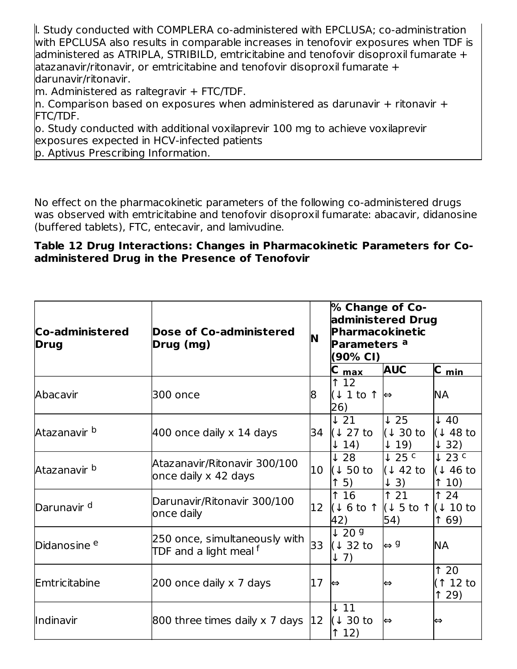l. Study conducted with COMPLERA co-administered with EPCLUSA; co-administration with EPCLUSA also results in comparable increases in tenofovir exposures when TDF is administered as ATRIPLA, STRIBILD, emtricitabine and tenofovir disoproxil fumarate + atazanavir/ritonavir, or emtricitabine and tenofovir disoproxil fumarate + darunavir/ritonavir.

m. Administered as raltegravir + FTC/TDF.

 $\ln$ . Comparison based on exposures when administered as darunavir + ritonavir + FTC/TDF.

o. Study conducted with additional voxilaprevir 100 mg to achieve voxilaprevir exposures expected in HCV-infected patients

p. Aptivus Prescribing Information.

No effect on the pharmacokinetic parameters of the following co-administered drugs was observed with emtricitabine and tenofovir disoproxil fumarate: abacavir, didanosine (buffered tablets), FTC, entecavir, and lamivudine.

#### **Table 12 Drug Interactions: Changes in Pharmacokinetic Parameters for Coadministered Drug in the Presence of Tenofovir**

| Co-administered<br><b>Drug</b> | <b>Dose of Co-administered</b><br>N<br>Drug (mg)                   |    | % Change of Co-<br>administered Drug<br>Pharmacokinetic<br>Parameters <sup>a</sup><br>(90% CI) |                                                                            |                                               |
|--------------------------------|--------------------------------------------------------------------|----|------------------------------------------------------------------------------------------------|----------------------------------------------------------------------------|-----------------------------------------------|
|                                |                                                                    |    | max                                                                                            | <b>AUC</b>                                                                 | C_min_                                        |
| Abacavir                       | 300 once                                                           | 18 | ↑ 12<br>(1 1 to 1)<br>26)                                                                      | ∣⇔                                                                         | NА                                            |
| Atazanavir <sup>b</sup>        | 400 once daily x 14 days                                           | 34 | $\downarrow$ 21<br>(1 27 t<br>$\downarrow$ 14)                                                 | $\downarrow$ 25<br>l(↓ 30 to<br>$\downarrow$ 19)                           | $\downarrow$ 40<br>(148t)<br>$\downarrow$ 32) |
| Atazanavir b                   | Atazanavir/Ritonavir 300/100<br>once daily x 42 days               | 10 | $\downarrow$ 28<br>(150t)<br>$\uparrow$ 5)                                                     | $\downarrow$ 25 c<br>(↓ 42 to<br>$\downarrow$ 3)                           | $\downarrow$ 23 c<br>(146t)<br>10)            |
| Darunavir <sup>d</sup>         | Darunavir/Ritonavir 300/100<br>once daily                          | 12 | 16<br>(16t0)<br>42)                                                                            | $\uparrow$ 21<br>$\left(\downarrow$ 5 to 1 $\left(\downarrow$ 10 to<br>54) | 124<br>69)<br>↑                               |
| Didanosine <sup>e</sup>        | 250 once, simultaneously with<br>TDF and a light meal <sup>f</sup> | 33 | $\sqrt{209}$<br>$(132)$ to<br>$\downarrow$ 7)                                                  | $\Leftrightarrow$ 9                                                        | <b>NA</b>                                     |
| Emtricitabine                  | 200 once daily x 7 days                                            | 17 | $\Leftrightarrow$                                                                              | ⇔                                                                          | 120<br>$\uparrow$ 12 to<br>129)               |
| Indinavir                      | 800 three times daily x 7 days $ 12\rangle$                        |    | $\downarrow$ 11<br>$(130)$ to<br>12)                                                           | l⇔                                                                         | ⇔                                             |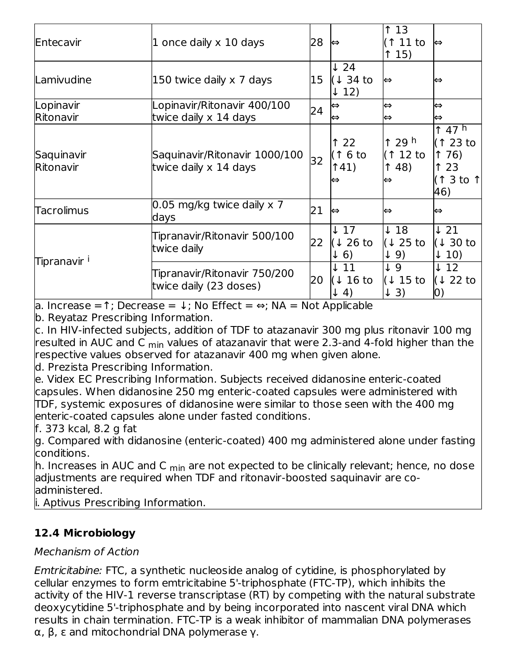| Entecavir               | 1 once daily x 10 days<br>28                           |    | ∣⇔                                                 | 13<br>$\uparrow$ 11 to<br>15)                        | I⇔                                                              |
|-------------------------|--------------------------------------------------------|----|----------------------------------------------------|------------------------------------------------------|-----------------------------------------------------------------|
| Lamivudine              | 15<br>150 twice daily x 7 days                         |    | $\downarrow$ 24<br>$(1.34)$ to<br>$\downarrow$ 12) | ∣⇔                                                   | ⇔                                                               |
| Lopinavir<br>Ritonavir  | Lopinavir/Ritonavir 400/100<br>twice daily x 14 days   | 24 | ∣⇔<br> ⇔                                           | ⇔<br>⇔                                               | $\Leftrightarrow$<br>⇔                                          |
| Saquinavir<br>Ritonavir | Saquinavir/Ritonavir 1000/100<br>twice daily x 14 days | 32 | 22<br>↑<br>(↑ 6 to<br>141)<br>⇔                    | $\uparrow$ 29 h<br>$(112)$ to<br>$\uparrow$ 48)<br>⇔ | $\uparrow$ 47 h<br>(↑ 23 to<br>176)<br>↑ 23<br>(↑ 3 to ↑<br>46) |
| Tacrolimus              | 0.05 mg/kg twice daily x 7<br>days                     | 21 | ∣⇔                                                 | ⇔                                                    | ⇔                                                               |
| Tipranavir <sup>i</sup> | Tipranavir/Ritonavir 500/100<br>twice daily            | 22 | $\downarrow$ 17<br>(1 26 t)<br>$\downarrow$ 6)     | $\downarrow$ 18<br>(1 25 t)<br>$\downarrow$ 9)       | $\downarrow$ 21<br>(↓ 30 to<br>$\downarrow$ 10)                 |
|                         | Tipranavir/Ritonavir 750/200<br>twice daily (23 doses) | 20 | $\downarrow$ 11<br>(1 16 t<br>$\downarrow$ 4)      | $\downarrow$ 9<br>$(115)$ to<br>$\downarrow$ 3)      | $\downarrow$ 12<br>(↓ 22 to<br>0)                               |

a. Increase =↑; Decrease = ↓; No Effect = ⇔; NA = Not Applicable

b. Reyataz Prescribing Information.

c. In HIV-infected subjects, addition of TDF to atazanavir 300 mg plus ritonavir 100 mg resulted in AUC and C <sub>min</sub> values of atazanavir that were 2.3-and 4-fold higher than the respective values observed for atazanavir 400 mg when given alone.

d. Prezista Prescribing Information.

e. Videx EC Prescribing Information. Subjects received didanosine enteric-coated capsules. When didanosine 250 mg enteric-coated capsules were administered with TDF, systemic exposures of didanosine were similar to those seen with the 400 mg enteric-coated capsules alone under fasted conditions.

f. 373 kcal, 8.2 g fat

g. Compared with didanosine (enteric-coated) 400 mg administered alone under fasting conditions.

h. Increases in AUC and C <sub>min</sub> are not expected to be clinically relevant; hence, no dose adjustments are required when TDF and ritonavir-boosted saquinavir are coadministered.

i. Aptivus Prescribing Information.

# **12.4 Microbiology**

# Mechanism of Action

Emtricitabine: FTC, a synthetic nucleoside analog of cytidine, is phosphorylated by cellular enzymes to form emtricitabine 5'-triphosphate (FTC-TP), which inhibits the activity of the HIV-1 reverse transcriptase (RT) by competing with the natural substrate deoxycytidine 5'-triphosphate and by being incorporated into nascent viral DNA which results in chain termination. FTC-TP is a weak inhibitor of mammalian DNA polymerases α, β, ε and mitochondrial DNA polymerase γ.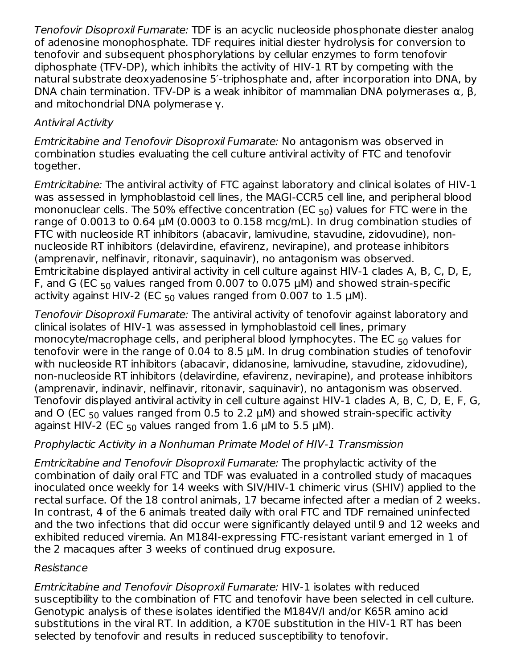Tenofovir Disoproxil Fumarate: TDF is an acyclic nucleoside phosphonate diester analog of adenosine monophosphate. TDF requires initial diester hydrolysis for conversion to tenofovir and subsequent phosphorylations by cellular enzymes to form tenofovir diphosphate (TFV-DP), which inhibits the activity of HIV-1 RT by competing with the natural substrate deoxyadenosine 5′-triphosphate and, after incorporation into DNA, by DNA chain termination. TFV-DP is a weak inhibitor of mammalian DNA polymerases  $\alpha$ ,  $\beta$ , and mitochondrial DNA polymerase γ.

# Antiviral Activity

Emtricitabine and Tenofovir Disoproxil Fumarate: No antagonism was observed in combination studies evaluating the cell culture antiviral activity of FTC and tenofovir together.

Emtricitabine: The antiviral activity of FTC against laboratory and clinical isolates of HIV-1 was assessed in lymphoblastoid cell lines, the MAGI-CCR5 cell line, and peripheral blood mononuclear cells. The 50% effective concentration (EC  $_{50}$ ) values for FTC were in the range of 0.0013 to 0.64 μM (0.0003 to 0.158 mcg/mL). In drug combination studies of FTC with nucleoside RT inhibitors (abacavir, lamivudine, stavudine, zidovudine), nonnucleoside RT inhibitors (delavirdine, efavirenz, nevirapine), and protease inhibitors (amprenavir, nelfinavir, ritonavir, saquinavir), no antagonism was observed. Emtricitabine displayed antiviral activity in cell culture against HIV-1 clades A, B, C, D, E, F, and G (EC  $_{50}$  values ranged from 0.007 to 0.075  $\mu$ M) and showed strain-specific activity against HIV-2 (EC  $_{50}$  values ranged from 0.007 to 1.5  $\mu$ M).

Tenofovir Disoproxil Fumarate: The antiviral activity of tenofovir against laboratory and clinical isolates of HIV-1 was assessed in lymphoblastoid cell lines, primary monocyte/macrophage cells, and peripheral blood lymphocytes. The EC  $_{\rm 50}$  values for tenofovir were in the range of 0.04 to 8.5 μM. In drug combination studies of tenofovir with nucleoside RT inhibitors (abacavir, didanosine, lamivudine, stavudine, zidovudine), non-nucleoside RT inhibitors (delavirdine, efavirenz, nevirapine), and protease inhibitors (amprenavir, indinavir, nelfinavir, ritonavir, saquinavir), no antagonism was observed. Tenofovir displayed antiviral activity in cell culture against HIV-1 clades A, B, C, D, E, F, G, and O (EC  $_{50}$  values ranged from 0.5 to 2.2  $\mu$ M) and showed strain-specific activity against HIV-2 (EC  $_{50}$  values ranged from 1.6  $\mu$ M to 5.5  $\mu$ M).

# Prophylactic Activity in a Nonhuman Primate Model of HIV-1 Transmission

Emtricitabine and Tenofovir Disoproxil Fumarate: The prophylactic activity of the combination of daily oral FTC and TDF was evaluated in a controlled study of macaques inoculated once weekly for 14 weeks with SIV/HIV-1 chimeric virus (SHIV) applied to the rectal surface. Of the 18 control animals, 17 became infected after a median of 2 weeks. In contrast, 4 of the 6 animals treated daily with oral FTC and TDF remained uninfected and the two infections that did occur were significantly delayed until 9 and 12 weeks and exhibited reduced viremia. An M184I-expressing FTC-resistant variant emerged in 1 of the 2 macaques after 3 weeks of continued drug exposure.

# Resistance

Emtricitabine and Tenofovir Disoproxil Fumarate: HIV-1 isolates with reduced susceptibility to the combination of FTC and tenofovir have been selected in cell culture. Genotypic analysis of these isolates identified the M184V/I and/or K65R amino acid substitutions in the viral RT. In addition, a K70E substitution in the HIV-1 RT has been selected by tenofovir and results in reduced susceptibility to tenofovir.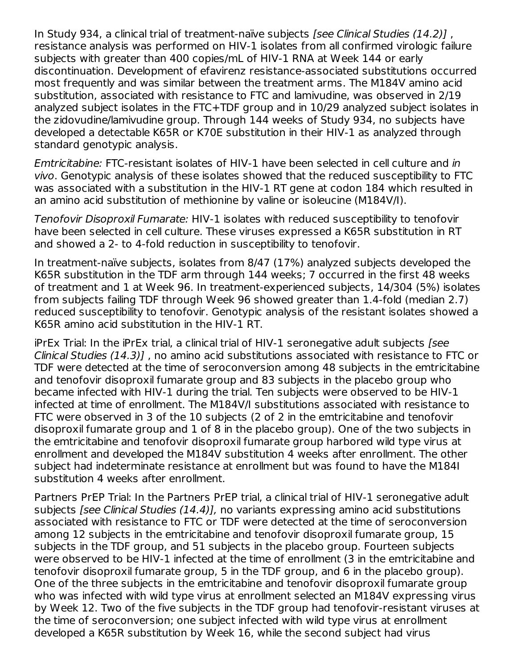In Study 934, a clinical trial of treatment-naïve subjects [see Clinical Studies (14.2)] , resistance analysis was performed on HIV-1 isolates from all confirmed virologic failure subjects with greater than 400 copies/mL of HIV-1 RNA at Week 144 or early discontinuation. Development of efavirenz resistance-associated substitutions occurred most frequently and was similar between the treatment arms. The M184V amino acid substitution, associated with resistance to FTC and lamivudine, was observed in 2/19 analyzed subject isolates in the FTC+TDF group and in 10/29 analyzed subject isolates in the zidovudine/lamivudine group. Through 144 weeks of Study 934, no subjects have developed a detectable K65R or K70E substitution in their HIV-1 as analyzed through standard genotypic analysis.

Emtricitabine: FTC-resistant isolates of HIV-1 have been selected in cell culture and in vivo. Genotypic analysis of these isolates showed that the reduced susceptibility to FTC was associated with a substitution in the HIV-1 RT gene at codon 184 which resulted in an amino acid substitution of methionine by valine or isoleucine (M184V/I).

Tenofovir Disoproxil Fumarate: HIV-1 isolates with reduced susceptibility to tenofovir have been selected in cell culture. These viruses expressed a K65R substitution in RT and showed a 2- to 4-fold reduction in susceptibility to tenofovir.

In treatment-naïve subjects, isolates from 8/47 (17%) analyzed subjects developed the K65R substitution in the TDF arm through 144 weeks; 7 occurred in the first 48 weeks of treatment and 1 at Week 96. In treatment-experienced subjects, 14/304 (5%) isolates from subjects failing TDF through Week 96 showed greater than 1.4-fold (median 2.7) reduced susceptibility to tenofovir. Genotypic analysis of the resistant isolates showed a K65R amino acid substitution in the HIV-1 RT.

iPrEx Trial: In the iPrEx trial, a clinical trial of HIV-1 seronegative adult subjects [see Clinical Studies (14.3)] , no amino acid substitutions associated with resistance to FTC or TDF were detected at the time of seroconversion among 48 subjects in the emtricitabine and tenofovir disoproxil fumarate group and 83 subjects in the placebo group who became infected with HIV-1 during the trial. Ten subjects were observed to be HIV-1 infected at time of enrollment. The M184V/I substitutions associated with resistance to FTC were observed in 3 of the 10 subjects (2 of 2 in the emtricitabine and tenofovir disoproxil fumarate group and 1 of 8 in the placebo group). One of the two subjects in the emtricitabine and tenofovir disoproxil fumarate group harbored wild type virus at enrollment and developed the M184V substitution 4 weeks after enrollment. The other subject had indeterminate resistance at enrollment but was found to have the M184I substitution 4 weeks after enrollment.

Partners PrEP Trial: In the Partners PrEP trial, a clinical trial of HIV-1 seronegative adult subjects *[see Clinical Studies (14.4)]*, no variants expressing amino acid substitutions associated with resistance to FTC or TDF were detected at the time of seroconversion among 12 subjects in the emtricitabine and tenofovir disoproxil fumarate group, 15 subjects in the TDF group, and 51 subjects in the placebo group. Fourteen subjects were observed to be HIV-1 infected at the time of enrollment (3 in the emtricitabine and tenofovir disoproxil fumarate group, 5 in the TDF group, and 6 in the placebo group). One of the three subjects in the emtricitabine and tenofovir disoproxil fumarate group who was infected with wild type virus at enrollment selected an M184V expressing virus by Week 12. Two of the five subjects in the TDF group had tenofovir-resistant viruses at the time of seroconversion; one subject infected with wild type virus at enrollment developed a K65R substitution by Week 16, while the second subject had virus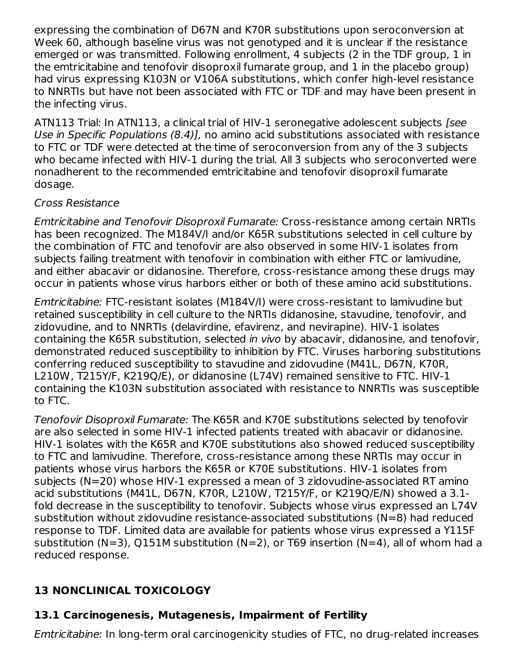expressing the combination of D67N and K70R substitutions upon seroconversion at Week 60, although baseline virus was not genotyped and it is unclear if the resistance emerged or was transmitted. Following enrollment, 4 subjects (2 in the TDF group, 1 in the emtricitabine and tenofovir disoproxil fumarate group, and 1 in the placebo group) had virus expressing K103N or V106A substitutions, which confer high-level resistance to NNRTIs but have not been associated with FTC or TDF and may have been present in the infecting virus.

ATN113 Trial: In ATN113, a clinical trial of HIV-1 seronegative adolescent subjects [see Use in Specific Populations (8.4)], no amino acid substitutions associated with resistance to FTC or TDF were detected at the time of seroconversion from any of the 3 subjects who became infected with HIV-1 during the trial. All 3 subjects who seroconverted were nonadherent to the recommended emtricitabine and tenofovir disoproxil fumarate dosage.

#### Cross Resistance

Emtricitabine and Tenofovir Disoproxil Fumarate: Cross-resistance among certain NRTIs has been recognized. The M184V/I and/or K65R substitutions selected in cell culture by the combination of FTC and tenofovir are also observed in some HIV-1 isolates from subjects failing treatment with tenofovir in combination with either FTC or lamivudine, and either abacavir or didanosine. Therefore, cross-resistance among these drugs may occur in patients whose virus harbors either or both of these amino acid substitutions.

Emtricitabine: FTC-resistant isolates (M184V/I) were cross-resistant to lamivudine but retained susceptibility in cell culture to the NRTIs didanosine, stavudine, tenofovir, and zidovudine, and to NNRTIs (delavirdine, efavirenz, and nevirapine). HIV-1 isolates containing the K65R substitution, selected in vivo by abacavir, didanosine, and tenofovir, demonstrated reduced susceptibility to inhibition by FTC. Viruses harboring substitutions conferring reduced susceptibility to stavudine and zidovudine (M41L, D67N, K70R, L210W, T215Y/F, K219Q/E), or didanosine (L74V) remained sensitive to FTC. HIV-1 containing the K103N substitution associated with resistance to NNRTIs was susceptible to FTC.

Tenofovir Disoproxil Fumarate: The K65R and K70E substitutions selected by tenofovir are also selected in some HIV-1 infected patients treated with abacavir or didanosine. HIV-1 isolates with the K65R and K70E substitutions also showed reduced susceptibility to FTC and lamivudine. Therefore, cross-resistance among these NRTIs may occur in patients whose virus harbors the K65R or K70E substitutions. HIV-1 isolates from subjects (N=20) whose HIV-1 expressed a mean of 3 zidovudine-associated RT amino acid substitutions (M41L, D67N, K70R, L210W, T215Y/F, or K219Q/E/N) showed a 3.1 fold decrease in the susceptibility to tenofovir. Subjects whose virus expressed an L74V substitution without zidovudine resistance-associated substitutions (N=8) had reduced response to TDF. Limited data are available for patients whose virus expressed a Y115F substitution (N=3), Q151M substitution (N=2), or T69 insertion (N=4), all of whom had a reduced response.

# **13 NONCLINICAL TOXICOLOGY**

# **13.1 Carcinogenesis, Mutagenesis, Impairment of Fertility**

Emtricitabine: In long-term oral carcinogenicity studies of FTC, no drug-related increases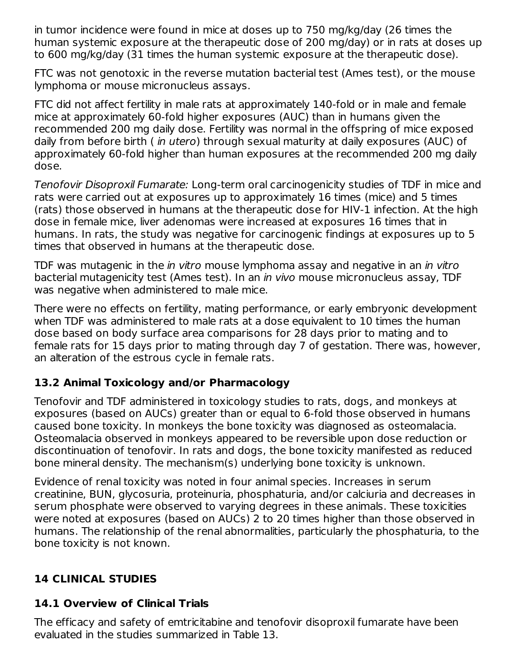in tumor incidence were found in mice at doses up to 750 mg/kg/day (26 times the human systemic exposure at the therapeutic dose of 200 mg/day) or in rats at doses up to 600 mg/kg/day (31 times the human systemic exposure at the therapeutic dose).

FTC was not genotoxic in the reverse mutation bacterial test (Ames test), or the mouse lymphoma or mouse micronucleus assays.

FTC did not affect fertility in male rats at approximately 140-fold or in male and female mice at approximately 60-fold higher exposures (AUC) than in humans given the recommended 200 mg daily dose. Fertility was normal in the offspring of mice exposed daily from before birth (*in utero*) through sexual maturity at daily exposures (AUC) of approximately 60-fold higher than human exposures at the recommended 200 mg daily dose.

Tenofovir Disoproxil Fumarate: Long-term oral carcinogenicity studies of TDF in mice and rats were carried out at exposures up to approximately 16 times (mice) and 5 times (rats) those observed in humans at the therapeutic dose for HIV-1 infection. At the high dose in female mice, liver adenomas were increased at exposures 16 times that in humans. In rats, the study was negative for carcinogenic findings at exposures up to 5 times that observed in humans at the therapeutic dose.

TDF was mutagenic in the *in vitro* mouse lymphoma assay and negative in an *in vitro* bacterial mutagenicity test (Ames test). In an in vivo mouse micronucleus assay, TDF was negative when administered to male mice.

There were no effects on fertility, mating performance, or early embryonic development when TDF was administered to male rats at a dose equivalent to 10 times the human dose based on body surface area comparisons for 28 days prior to mating and to female rats for 15 days prior to mating through day 7 of gestation. There was, however, an alteration of the estrous cycle in female rats.

# **13.2 Animal Toxicology and/or Pharmacology**

Tenofovir and TDF administered in toxicology studies to rats, dogs, and monkeys at exposures (based on AUCs) greater than or equal to 6-fold those observed in humans caused bone toxicity. In monkeys the bone toxicity was diagnosed as osteomalacia. Osteomalacia observed in monkeys appeared to be reversible upon dose reduction or discontinuation of tenofovir. In rats and dogs, the bone toxicity manifested as reduced bone mineral density. The mechanism(s) underlying bone toxicity is unknown.

Evidence of renal toxicity was noted in four animal species. Increases in serum creatinine, BUN, glycosuria, proteinuria, phosphaturia, and/or calciuria and decreases in serum phosphate were observed to varying degrees in these animals. These toxicities were noted at exposures (based on AUCs) 2 to 20 times higher than those observed in humans. The relationship of the renal abnormalities, particularly the phosphaturia, to the bone toxicity is not known.

# **14 CLINICAL STUDIES**

# **14.1 Overview of Clinical Trials**

The efficacy and safety of emtricitabine and tenofovir disoproxil fumarate have been evaluated in the studies summarized in Table 13.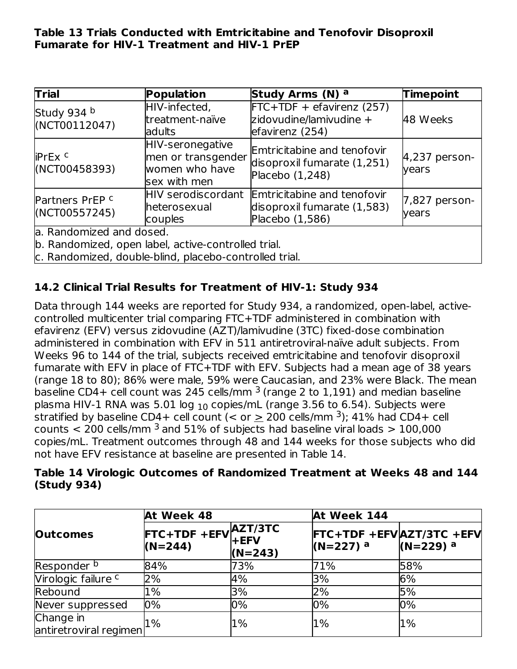#### **Table 13 Trials Conducted with Emtricitabine and Tenofovir Disoproxil Fumarate for HIV-1 Treatment and HIV-1 PrEP**

| Trial                                       | Population                                                                                                    | Study Arms (N) a                                                                                 | Timepoint              |
|---------------------------------------------|---------------------------------------------------------------------------------------------------------------|--------------------------------------------------------------------------------------------------|------------------------|
| Study 934 b<br>(NCT00112047)                | HIV-infected,<br>treatment-naïve<br>ladults                                                                   | $FTC+TDF + e$ favirenz (257)<br>zidovudine/lamivudine +<br>efavirenz (254)                       | 48 Weeks               |
| iPrEx <sup>c</sup><br>(NCT00458393)         | HIV-seronegative<br>men or transgender<br>women who have<br>sex with men                                      | Emtricitabine and tenofovir<br>disoproxil fumarate (1,251)<br>Placebo $(1,248)$                  | 4,237 person-<br>years |
| Partners PrEP <sup>c</sup><br>(NCT00557245) | heterosexual<br>couples                                                                                       | HIV serodiscordant Emtricitabine and tenofovir<br>disoproxil fumarate (1,583)<br>Placebo (1,586) | 7,827 person-<br>years |
| a. Randomized and dosed.                    | b. Randomized, open label, active-controlled trial.<br>c. Randomized, double-blind, placebo-controlled trial. |                                                                                                  |                        |

# **14.2 Clinical Trial Results for Treatment of HIV-1: Study 934**

Data through 144 weeks are reported for Study 934, a randomized, open-label, activecontrolled multicenter trial comparing FTC+TDF administered in combination with efavirenz (EFV) versus zidovudine (AZT)/lamivudine (3TC) fixed-dose combination administered in combination with EFV in 511 antiretroviral-naïve adult subjects. From Weeks 96 to 144 of the trial, subjects received emtricitabine and tenofovir disoproxil fumarate with EFV in place of FTC+TDF with EFV. Subjects had a mean age of 38 years (range 18 to 80); 86% were male, 59% were Caucasian, and 23% were Black. The mean baseline CD4+ cell count was 245 cells/mm  $^3$  (range 2 to 1,191) and median baseline plasma HIV-1 RNA was 5.01 log  $_{10}$  copies/mL (range 3.56 to 6.54). Subjects were stratified by baseline CD4+ cell count (< or  $\geq$  200 cells/mm <sup>3</sup>); 41% had CD4+ cell counts  $<$  200 cells/mm  $^3$  and 51% of subjects had baseline viral loads  $>$  100,000 copies/mL. Treatment outcomes through 48 and 144 weeks for those subjects who did not have EFV resistance at baseline are presented in Table 14.

|             | Table 14 Virologic Outcomes of Randomized Treatment at Weeks 48 and 144 |  |  |
|-------------|-------------------------------------------------------------------------|--|--|
| (Study 934) |                                                                         |  |  |

|                                     | At Week 48                                                                                |           | At Week 144                                               |                        |  |
|-------------------------------------|-------------------------------------------------------------------------------------------|-----------|-----------------------------------------------------------|------------------------|--|
| <b>Outcomes</b>                     | FTC+TDF +EFV $\begin{matrix} \mathsf{AZT/3TC} \\ \mathsf{+EFV} \end{matrix}$<br>$(N=244)$ | $(N=243)$ | <b>FTC+TDF +EFVAZT/3TC +EFV</b><br>$(N=227)$ <sup>a</sup> | $(N=229)$ <sup>a</sup> |  |
| Responder <sup>b</sup>              | 84%                                                                                       | 73%       | 71%                                                       | 58%                    |  |
| Virologic failure c                 | 2%                                                                                        | 4%        | 3%                                                        | 6%                     |  |
| Rebound                             | 1%                                                                                        | 3%        | 2%                                                        | 5%                     |  |
| Never suppressed                    | 0%                                                                                        | 0%        | 0%                                                        | 0%                     |  |
| Change in<br>antiretroviral regimen | $1\%$                                                                                     | $1\%$     | $1\%$                                                     | 1%                     |  |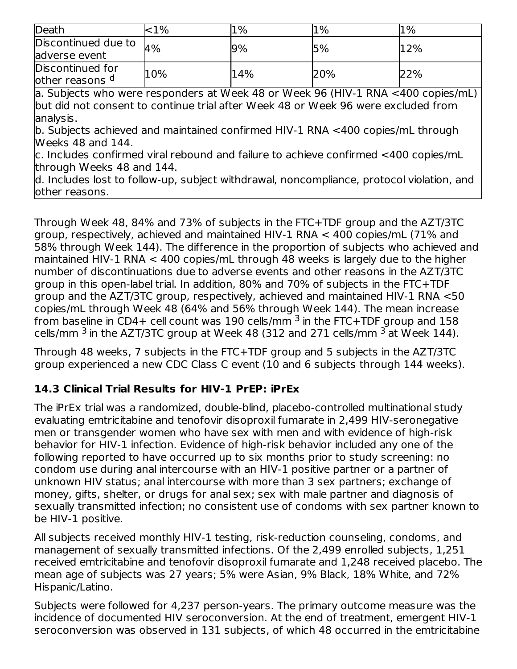| Death                                                                                     | ${<}1\%$ | $1\%$ | $1\%$ | $1\%$ |  |  |
|-------------------------------------------------------------------------------------------|----------|-------|-------|-------|--|--|
| Discontinued due to                                                                       | 4%       | 9%    | 5%    | 12%   |  |  |
| adverse event                                                                             |          |       |       |       |  |  |
| Discontinued for                                                                          | 10%      | 14%   | 20%   | 22%   |  |  |
| other reasons d                                                                           |          |       |       |       |  |  |
| a. Subjects who were responders at Week 48 or Week 96 (HIV-1 RNA <400 copies/mL)          |          |       |       |       |  |  |
| but did not consent to continue trial after Week 48 or Week 96 were excluded from         |          |       |       |       |  |  |
| analysis.                                                                                 |          |       |       |       |  |  |
| b. Subjects achieved and maintained confirmed HIV-1 RNA <400 copies/mL through            |          |       |       |       |  |  |
| Weeks 48 and 144.                                                                         |          |       |       |       |  |  |
| c. Includes confirmed viral rebound and failure to achieve confirmed <400 copies/mL       |          |       |       |       |  |  |
| through Weeks 48 and 144.                                                                 |          |       |       |       |  |  |
| d. Includes lost to follow-up, subject withdrawal, noncompliance, protocol violation, and |          |       |       |       |  |  |
| other reasons.                                                                            |          |       |       |       |  |  |

Through Week 48, 84% and 73% of subjects in the FTC+TDF group and the AZT/3TC group, respectively, achieved and maintained HIV-1 RNA < 400 copies/mL (71% and 58% through Week 144). The difference in the proportion of subjects who achieved and maintained HIV-1 RNA < 400 copies/mL through 48 weeks is largely due to the higher number of discontinuations due to adverse events and other reasons in the AZT/3TC group in this open-label trial. In addition, 80% and 70% of subjects in the FTC+TDF group and the AZT/3TC group, respectively, achieved and maintained HIV-1 RNA <50 copies/mL through Week 48 (64% and 56% through Week 144). The mean increase from baseline in CD4+ cell count was  $190$  cells/mm  $^3$  in the FTC+TDF group and  $158\,$ cells/mm  $^3$  in the AZT/3TC group at Week 48 (312 and 271 cells/mm  $^3$  at Week 144).

Through 48 weeks, 7 subjects in the FTC+TDF group and 5 subjects in the AZT/3TC group experienced a new CDC Class C event (10 and 6 subjects through 144 weeks).

# **14.3 Clinical Trial Results for HIV-1 PrEP: iPrEx**

The iPrEx trial was a randomized, double-blind, placebo-controlled multinational study evaluating emtricitabine and tenofovir disoproxil fumarate in 2,499 HIV-seronegative men or transgender women who have sex with men and with evidence of high-risk behavior for HIV-1 infection. Evidence of high-risk behavior included any one of the following reported to have occurred up to six months prior to study screening: no condom use during anal intercourse with an HIV-1 positive partner or a partner of unknown HIV status; anal intercourse with more than 3 sex partners; exchange of money, gifts, shelter, or drugs for anal sex; sex with male partner and diagnosis of sexually transmitted infection; no consistent use of condoms with sex partner known to be HIV-1 positive.

All subjects received monthly HIV-1 testing, risk-reduction counseling, condoms, and management of sexually transmitted infections. Of the 2,499 enrolled subjects, 1,251 received emtricitabine and tenofovir disoproxil fumarate and 1,248 received placebo. The mean age of subjects was 27 years; 5% were Asian, 9% Black, 18% White, and 72% Hispanic/Latino.

Subjects were followed for 4,237 person-years. The primary outcome measure was the incidence of documented HIV seroconversion. At the end of treatment, emergent HIV-1 seroconversion was observed in 131 subjects, of which 48 occurred in the emtricitabine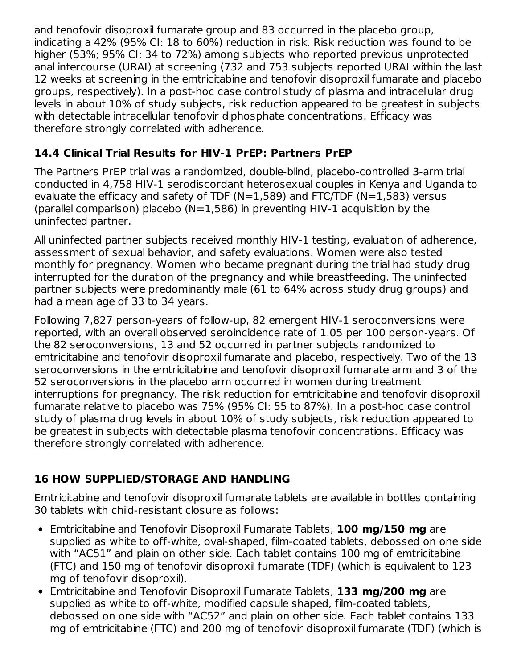and tenofovir disoproxil fumarate group and 83 occurred in the placebo group, indicating a 42% (95% CI: 18 to 60%) reduction in risk. Risk reduction was found to be higher (53%; 95% CI: 34 to 72%) among subjects who reported previous unprotected anal intercourse (URAI) at screening (732 and 753 subjects reported URAI within the last 12 weeks at screening in the emtricitabine and tenofovir disoproxil fumarate and placebo groups, respectively). In a post-hoc case control study of plasma and intracellular drug levels in about 10% of study subjects, risk reduction appeared to be greatest in subjects with detectable intracellular tenofovir diphosphate concentrations. Efficacy was therefore strongly correlated with adherence.

# **14.4 Clinical Trial Results for HIV-1 PrEP: Partners PrEP**

The Partners PrEP trial was a randomized, double-blind, placebo-controlled 3-arm trial conducted in 4,758 HIV-1 serodiscordant heterosexual couples in Kenya and Uganda to evaluate the efficacy and safety of TDF ( $N=1,589$ ) and FTC/TDF ( $N=1,583$ ) versus (parallel comparison) placebo ( $N=1,586$ ) in preventing HIV-1 acquisition by the uninfected partner.

All uninfected partner subjects received monthly HIV-1 testing, evaluation of adherence, assessment of sexual behavior, and safety evaluations. Women were also tested monthly for pregnancy. Women who became pregnant during the trial had study drug interrupted for the duration of the pregnancy and while breastfeeding. The uninfected partner subjects were predominantly male (61 to 64% across study drug groups) and had a mean age of 33 to 34 years.

Following 7,827 person-years of follow-up, 82 emergent HIV-1 seroconversions were reported, with an overall observed seroincidence rate of 1.05 per 100 person-years. Of the 82 seroconversions, 13 and 52 occurred in partner subjects randomized to emtricitabine and tenofovir disoproxil fumarate and placebo, respectively. Two of the 13 seroconversions in the emtricitabine and tenofovir disoproxil fumarate arm and 3 of the 52 seroconversions in the placebo arm occurred in women during treatment interruptions for pregnancy. The risk reduction for emtricitabine and tenofovir disoproxil fumarate relative to placebo was 75% (95% CI: 55 to 87%). In a post-hoc case control study of plasma drug levels in about 10% of study subjects, risk reduction appeared to be greatest in subjects with detectable plasma tenofovir concentrations. Efficacy was therefore strongly correlated with adherence.

# **16 HOW SUPPLIED/STORAGE AND HANDLING**

Emtricitabine and tenofovir disoproxil fumarate tablets are available in bottles containing 30 tablets with child-resistant closure as follows:

- Emtricitabine and Tenofovir Disoproxil Fumarate Tablets, **100 mg/150 mg** are supplied as white to off-white, oval-shaped, film-coated tablets, debossed on one side with "AC51" and plain on other side. Each tablet contains 100 mg of emtricitabine (FTC) and 150 mg of tenofovir disoproxil fumarate (TDF) (which is equivalent to 123 mg of tenofovir disoproxil).
- Emtricitabine and Tenofovir Disoproxil Fumarate Tablets, **133 mg/200 mg** are supplied as white to off-white, modified capsule shaped, film-coated tablets, debossed on one side with "AC52" and plain on other side. Each tablet contains 133 mg of emtricitabine (FTC) and 200 mg of tenofovir disoproxil fumarate (TDF) (which is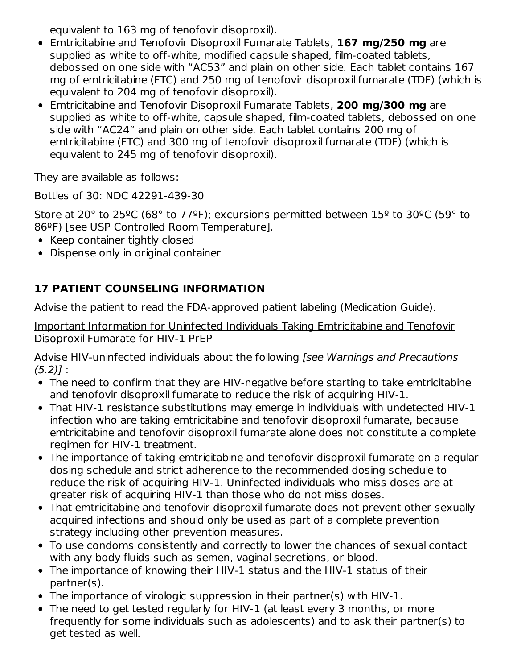equivalent to 163 mg of tenofovir disoproxil).

- Emtricitabine and Tenofovir Disoproxil Fumarate Tablets, **167 mg/250 mg** are supplied as white to off-white, modified capsule shaped, film-coated tablets, debossed on one side with "AC53" and plain on other side. Each tablet contains 167 mg of emtricitabine (FTC) and 250 mg of tenofovir disoproxil fumarate (TDF) (which is equivalent to 204 mg of tenofovir disoproxil).
- Emtricitabine and Tenofovir Disoproxil Fumarate Tablets, **200 mg/300 mg** are supplied as white to off-white, capsule shaped, film-coated tablets, debossed on one side with "AC24" and plain on other side. Each tablet contains 200 mg of emtricitabine (FTC) and 300 mg of tenofovir disoproxil fumarate (TDF) (which is equivalent to 245 mg of tenofovir disoproxil).

They are available as follows:

Bottles of 30: NDC 42291-439-30

Store at 20° to 25ºC (68° to 77ºF); excursions permitted between 15º to 30ºC (59° to 86ºF) [see USP Controlled Room Temperature].

- Keep container tightly closed
- Dispense only in original container

# **17 PATIENT COUNSELING INFORMATION**

Advise the patient to read the FDA-approved patient labeling (Medication Guide).

Important Information for Uninfected Individuals Taking Emtricitabine and Tenofovir Disoproxil Fumarate for HIV-1 PrEP

Advise HIV-uninfected individuals about the following [see Warnings and Precautions  $(5.2)$ ] :

- The need to confirm that they are HIV-negative before starting to take emtricitabine and tenofovir disoproxil fumarate to reduce the risk of acquiring HIV-1.
- That HIV-1 resistance substitutions may emerge in individuals with undetected HIV-1 infection who are taking emtricitabine and tenofovir disoproxil fumarate, because emtricitabine and tenofovir disoproxil fumarate alone does not constitute a complete regimen for HIV-1 treatment.
- The importance of taking emtricitabine and tenofovir disoproxil fumarate on a regular dosing schedule and strict adherence to the recommended dosing schedule to reduce the risk of acquiring HIV-1. Uninfected individuals who miss doses are at greater risk of acquiring HIV-1 than those who do not miss doses.
- That emtricitabine and tenofovir disoproxil fumarate does not prevent other sexually acquired infections and should only be used as part of a complete prevention strategy including other prevention measures.
- To use condoms consistently and correctly to lower the chances of sexual contact with any body fluids such as semen, vaginal secretions, or blood.
- The importance of knowing their HIV-1 status and the HIV-1 status of their partner(s).
- The importance of virologic suppression in their partner(s) with HIV-1.
- The need to get tested regularly for HIV-1 (at least every 3 months, or more frequently for some individuals such as adolescents) and to ask their partner(s) to get tested as well.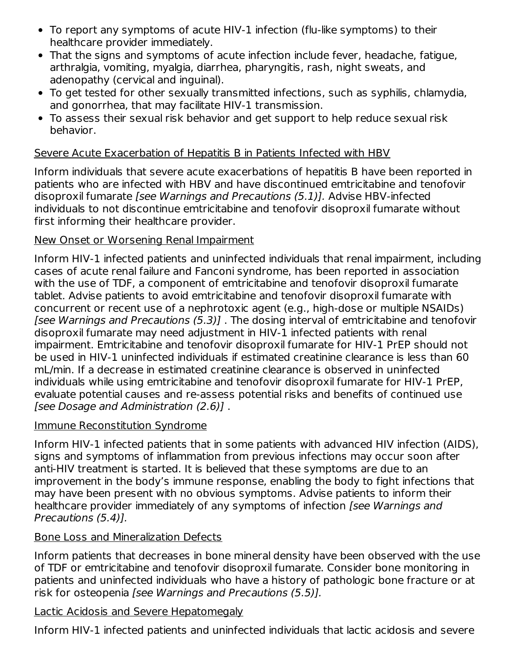- To report any symptoms of acute HIV-1 infection (flu-like symptoms) to their healthcare provider immediately.
- That the signs and symptoms of acute infection include fever, headache, fatigue, arthralgia, vomiting, myalgia, diarrhea, pharyngitis, rash, night sweats, and adenopathy (cervical and inguinal).
- To get tested for other sexually transmitted infections, such as syphilis, chlamydia, and gonorrhea, that may facilitate HIV-1 transmission.
- To assess their sexual risk behavior and get support to help reduce sexual risk behavior.

### Severe Acute Exacerbation of Hepatitis B in Patients Infected with HBV

Inform individuals that severe acute exacerbations of hepatitis B have been reported in patients who are infected with HBV and have discontinued emtricitabine and tenofovir disoproxil fumarate [see Warnings and Precautions (5.1)]. Advise HBV-infected individuals to not discontinue emtricitabine and tenofovir disoproxil fumarate without first informing their healthcare provider.

#### New Onset or Worsening Renal Impairment

Inform HIV-1 infected patients and uninfected individuals that renal impairment, including cases of acute renal failure and Fanconi syndrome, has been reported in association with the use of TDF, a component of emtricitabine and tenofovir disoproxil fumarate tablet. Advise patients to avoid emtricitabine and tenofovir disoproxil fumarate with concurrent or recent use of a nephrotoxic agent (e.g., high-dose or multiple NSAIDs) [see Warnings and Precautions (5.3)] . The dosing interval of emtricitabine and tenofovir disoproxil fumarate may need adjustment in HIV-1 infected patients with renal impairment. Emtricitabine and tenofovir disoproxil fumarate for HIV-1 PrEP should not be used in HIV-1 uninfected individuals if estimated creatinine clearance is less than 60 mL/min. If a decrease in estimated creatinine clearance is observed in uninfected individuals while using emtricitabine and tenofovir disoproxil fumarate for HIV-1 PrEP, evaluate potential causes and re-assess potential risks and benefits of continued use [see Dosage and Administration (2.6)] .

#### Immune Reconstitution Syndrome

Inform HIV-1 infected patients that in some patients with advanced HIV infection (AIDS), signs and symptoms of inflammation from previous infections may occur soon after anti-HIV treatment is started. It is believed that these symptoms are due to an improvement in the body's immune response, enabling the body to fight infections that may have been present with no obvious symptoms. Advise patients to inform their healthcare provider immediately of any symptoms of infection [see Warnings and Precautions (5.4)].

#### Bone Loss and Mineralization Defects

Inform patients that decreases in bone mineral density have been observed with the use of TDF or emtricitabine and tenofovir disoproxil fumarate. Consider bone monitoring in patients and uninfected individuals who have a history of pathologic bone fracture or at risk for osteopenia [see Warnings and Precautions (5.5)].

#### Lactic Acidosis and Severe Hepatomegaly

Inform HIV-1 infected patients and uninfected individuals that lactic acidosis and severe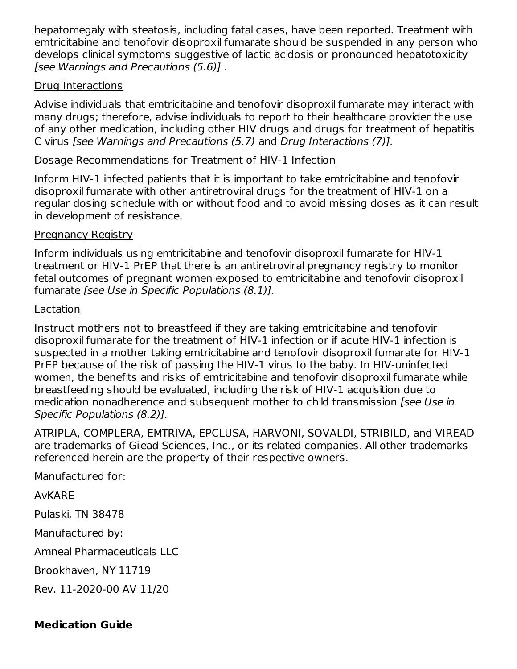hepatomegaly with steatosis, including fatal cases, have been reported. Treatment with emtricitabine and tenofovir disoproxil fumarate should be suspended in any person who develops clinical symptoms suggestive of lactic acidosis or pronounced hepatotoxicity [see Warnings and Precautions (5.6)] .

#### Drug Interactions

Advise individuals that emtricitabine and tenofovir disoproxil fumarate may interact with many drugs; therefore, advise individuals to report to their healthcare provider the use of any other medication, including other HIV drugs and drugs for treatment of hepatitis C virus [see Warnings and Precautions (5.7) and Drug Interactions (7)].

### Dosage Recommendations for Treatment of HIV-1 Infection

Inform HIV-1 infected patients that it is important to take emtricitabine and tenofovir disoproxil fumarate with other antiretroviral drugs for the treatment of HIV-1 on a regular dosing schedule with or without food and to avoid missing doses as it can result in development of resistance.

### Pregnancy Registry

Inform individuals using emtricitabine and tenofovir disoproxil fumarate for HIV-1 treatment or HIV-1 PrEP that there is an antiretroviral pregnancy registry to monitor fetal outcomes of pregnant women exposed to emtricitabine and tenofovir disoproxil fumarate [see Use in Specific Populations (8.1)].

#### Lactation

Instruct mothers not to breastfeed if they are taking emtricitabine and tenofovir disoproxil fumarate for the treatment of HIV-1 infection or if acute HIV-1 infection is suspected in a mother taking emtricitabine and tenofovir disoproxil fumarate for HIV-1 PrEP because of the risk of passing the HIV-1 virus to the baby. In HIV-uninfected women, the benefits and risks of emtricitabine and tenofovir disoproxil fumarate while breastfeeding should be evaluated, including the risk of HIV-1 acquisition due to medication nonadherence and subsequent mother to child transmission [see Use in Specific Populations (8.2)].

ATRIPLA, COMPLERA, EMTRIVA, EPCLUSA, HARVONI, SOVALDI, STRIBILD, and VIREAD are trademarks of Gilead Sciences, Inc., or its related companies. All other trademarks referenced herein are the property of their respective owners.

Manufactured for:

# AvKARE

Pulaski, TN 38478

Manufactured by:

Amneal Pharmaceuticals LLC

Brookhaven, NY 11719

Rev. 11-2020-00 AV 11/20

# **Medication Guide**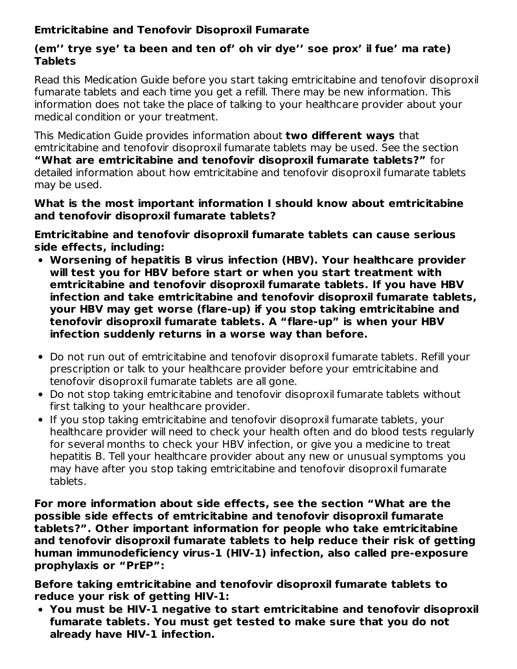### **Emtricitabine and Tenofovir Disoproxil Fumarate**

### **(em'' trye sye' ta been and ten of' oh vir dye'' soe prox' il fue' ma rate) Tablets**

Read this Medication Guide before you start taking emtricitabine and tenofovir disoproxil fumarate tablets and each time you get a refill. There may be new information. This information does not take the place of talking to your healthcare provider about your medical condition or your treatment.

This Medication Guide provides information about **two different ways** that emtricitabine and tenofovir disoproxil fumarate tablets may be used. See the section **"What are emtricitabine and tenofovir disoproxil fumarate tablets?"** for detailed information about how emtricitabine and tenofovir disoproxil fumarate tablets may be used.

#### **What is the most important information I should know about emtricitabine and tenofovir disoproxil fumarate tablets?**

**Emtricitabine and tenofovir disoproxil fumarate tablets can cause serious side effects, including:**

- **Worsening of hepatitis B virus infection (HBV). Your healthcare provider will test you for HBV before start or when you start treatment with emtricitabine and tenofovir disoproxil fumarate tablets. If you have HBV infection and take emtricitabine and tenofovir disoproxil fumarate tablets, your HBV may get worse (flare-up) if you stop taking emtricitabine and tenofovir disoproxil fumarate tablets. A "flare-up" is when your HBV infection suddenly returns in a worse way than before.**
- Do not run out of emtricitabine and tenofovir disoproxil fumarate tablets. Refill your prescription or talk to your healthcare provider before your emtricitabine and tenofovir disoproxil fumarate tablets are all gone.
- Do not stop taking emtricitabine and tenofovir disoproxil fumarate tablets without first talking to your healthcare provider.
- If you stop taking emtricitabine and tenofovir disoproxil fumarate tablets, your healthcare provider will need to check your health often and do blood tests regularly for several months to check your HBV infection, or give you a medicine to treat hepatitis B. Tell your healthcare provider about any new or unusual symptoms you may have after you stop taking emtricitabine and tenofovir disoproxil fumarate tablets.

**For more information about side effects, see the section "What are the possible side effects of emtricitabine and tenofovir disoproxil fumarate tablets?". Other important information for people who take emtricitabine and tenofovir disoproxil fumarate tablets to help reduce their risk of getting human immunodeficiency virus-1 (HIV-1) infection, also called pre-exposure prophylaxis or "PrEP":**

**Before taking emtricitabine and tenofovir disoproxil fumarate tablets to reduce your risk of getting HIV-1:**

**You must be HIV-1 negative to start emtricitabine and tenofovir disoproxil fumarate tablets. You must get tested to make sure that you do not already have HIV-1 infection.**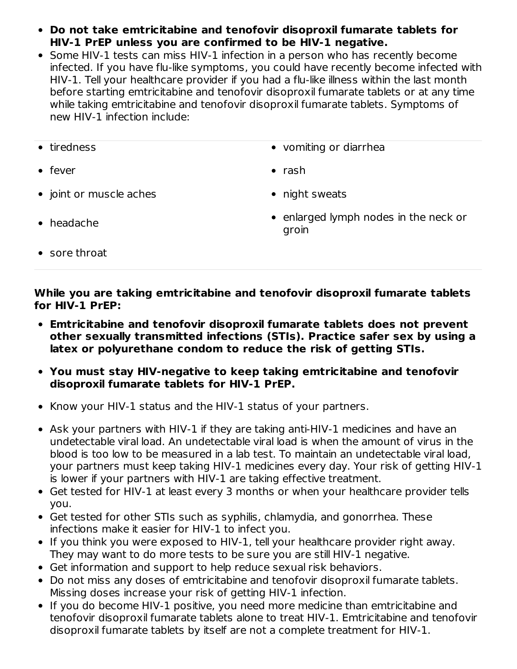- **Do not take emtricitabine and tenofovir disoproxil fumarate tablets for HIV-1 PrEP unless you are confirmed to be HIV-1 negative.**
- Some HIV-1 tests can miss HIV-1 infection in a person who has recently become infected. If you have flu-like symptoms, you could have recently become infected with HIV-1. Tell your healthcare provider if you had a flu-like illness within the last month before starting emtricitabine and tenofovir disoproxil fumarate tablets or at any time while taking emtricitabine and tenofovir disoproxil fumarate tablets. Symptoms of new HIV-1 infection include:
- 
- fever **a** rash
- joint or muscle aches **abula community** night sweats
- tiredness vomiting or diarrhea
	-
	-

headache

• enlarged lymph nodes in the neck or groin

• sore throat

**While you are taking emtricitabine and tenofovir disoproxil fumarate tablets for HIV-1 PrEP:**

- **Emtricitabine and tenofovir disoproxil fumarate tablets does not prevent other sexually transmitted infections (STIs). Practice safer sex by using a latex or polyurethane condom to reduce the risk of getting STIs.**
- **You must stay HIV-negative to keep taking emtricitabine and tenofovir disoproxil fumarate tablets for HIV-1 PrEP.**
- Know your HIV-1 status and the HIV-1 status of your partners.
- Ask your partners with HIV-1 if they are taking anti-HIV-1 medicines and have an undetectable viral load. An undetectable viral load is when the amount of virus in the blood is too low to be measured in a lab test. To maintain an undetectable viral load, your partners must keep taking HIV-1 medicines every day. Your risk of getting HIV-1 is lower if your partners with HIV-1 are taking effective treatment.
- Get tested for HIV-1 at least every 3 months or when your healthcare provider tells you.
- Get tested for other STIs such as syphilis, chlamydia, and gonorrhea. These infections make it easier for HIV-1 to infect you.
- If you think you were exposed to HIV-1, tell your healthcare provider right away. They may want to do more tests to be sure you are still HIV-1 negative.
- Get information and support to help reduce sexual risk behaviors.
- Do not miss any doses of emtricitabine and tenofovir disoproxil fumarate tablets. Missing doses increase your risk of getting HIV-1 infection.
- If you do become HIV-1 positive, you need more medicine than emtricitabine and tenofovir disoproxil fumarate tablets alone to treat HIV-1. Emtricitabine and tenofovir disoproxil fumarate tablets by itself are not a complete treatment for HIV-1.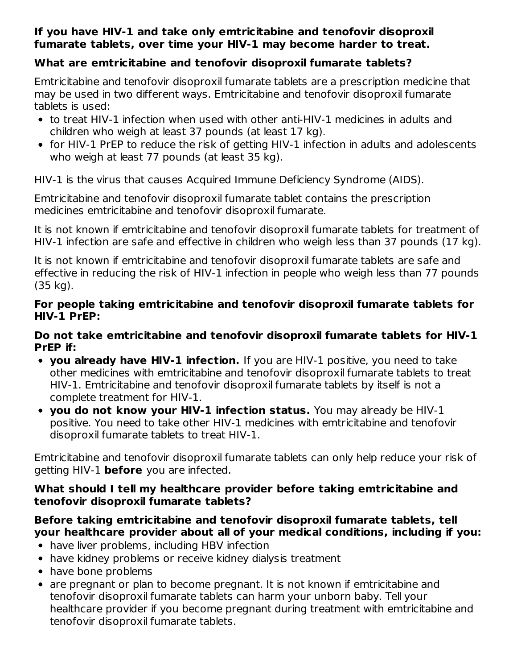### **If you have HIV-1 and take only emtricitabine and tenofovir disoproxil fumarate tablets, over time your HIV-1 may become harder to treat.**

# **What are emtricitabine and tenofovir disoproxil fumarate tablets?**

Emtricitabine and tenofovir disoproxil fumarate tablets are a prescription medicine that may be used in two different ways. Emtricitabine and tenofovir disoproxil fumarate tablets is used:

- to treat HIV-1 infection when used with other anti-HIV-1 medicines in adults and children who weigh at least 37 pounds (at least 17 kg).
- for HIV-1 PrEP to reduce the risk of getting HIV-1 infection in adults and adolescents who weigh at least 77 pounds (at least 35 kg).

HIV-1 is the virus that causes Acquired Immune Deficiency Syndrome (AIDS).

Emtricitabine and tenofovir disoproxil fumarate tablet contains the prescription medicines emtricitabine and tenofovir disoproxil fumarate.

It is not known if emtricitabine and tenofovir disoproxil fumarate tablets for treatment of HIV-1 infection are safe and effective in children who weigh less than 37 pounds (17 kg).

It is not known if emtricitabine and tenofovir disoproxil fumarate tablets are safe and effective in reducing the risk of HIV-1 infection in people who weigh less than 77 pounds (35 kg).

#### **For people taking emtricitabine and tenofovir disoproxil fumarate tablets for HIV-1 PrEP:**

#### **Do not take emtricitabine and tenofovir disoproxil fumarate tablets for HIV-1 PrEP if:**

- **you already have HIV-1 infection.** If you are HIV-1 positive, you need to take other medicines with emtricitabine and tenofovir disoproxil fumarate tablets to treat HIV-1. Emtricitabine and tenofovir disoproxil fumarate tablets by itself is not a complete treatment for HIV-1.
- **you do not know your HIV-1 infection status.** You may already be HIV-1 positive. You need to take other HIV-1 medicines with emtricitabine and tenofovir disoproxil fumarate tablets to treat HIV-1.

Emtricitabine and tenofovir disoproxil fumarate tablets can only help reduce your risk of getting HIV-1 **before** you are infected.

#### **What should I tell my healthcare provider before taking emtricitabine and tenofovir disoproxil fumarate tablets?**

#### **Before taking emtricitabine and tenofovir disoproxil fumarate tablets, tell your healthcare provider about all of your medical conditions, including if you:**

- have liver problems, including HBV infection
- have kidney problems or receive kidney dialysis treatment
- have bone problems
- are pregnant or plan to become pregnant. It is not known if emtricitabine and tenofovir disoproxil fumarate tablets can harm your unborn baby. Tell your healthcare provider if you become pregnant during treatment with emtricitabine and tenofovir disoproxil fumarate tablets.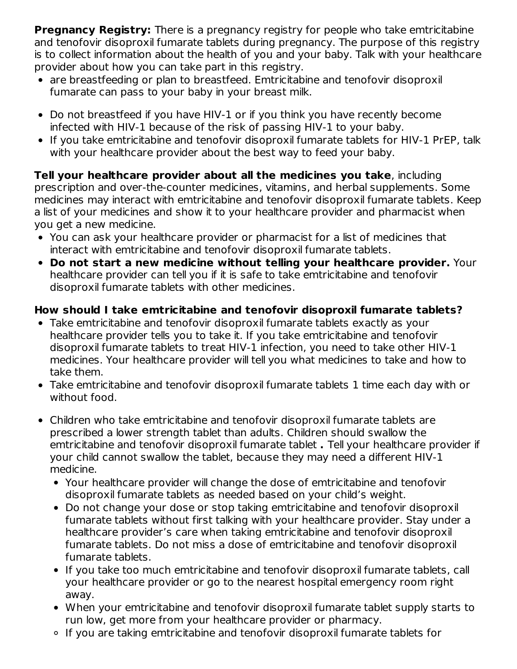**Pregnancy Registry:** There is a pregnancy registry for people who take emtricitabine and tenofovir disoproxil fumarate tablets during pregnancy. The purpose of this registry is to collect information about the health of you and your baby. Talk with your healthcare provider about how you can take part in this registry.

- are breastfeeding or plan to breastfeed. Emtricitabine and tenofovir disoproxil fumarate can pass to your baby in your breast milk.
- Do not breastfeed if you have HIV-1 or if you think you have recently become infected with HIV-1 because of the risk of passing HIV-1 to your baby.
- If you take emtricitabine and tenofovir disoproxil fumarate tablets for HIV-1 PrEP, talk with your healthcare provider about the best way to feed your baby.

**Tell your healthcare provider about all the medicines you take**, including prescription and over-the-counter medicines, vitamins, and herbal supplements. Some medicines may interact with emtricitabine and tenofovir disoproxil fumarate tablets. Keep a list of your medicines and show it to your healthcare provider and pharmacist when you get a new medicine.

- You can ask your healthcare provider or pharmacist for a list of medicines that interact with emtricitabine and tenofovir disoproxil fumarate tablets.
- **Do not start a new medicine without telling your healthcare provider.** Your healthcare provider can tell you if it is safe to take emtricitabine and tenofovir disoproxil fumarate tablets with other medicines.

# **How should I take emtricitabine and tenofovir disoproxil fumarate tablets?**

- Take emtricitabine and tenofovir disoproxil fumarate tablets exactly as your healthcare provider tells you to take it. If you take emtricitabine and tenofovir disoproxil fumarate tablets to treat HIV-1 infection, you need to take other HIV-1 medicines. Your healthcare provider will tell you what medicines to take and how to take them.
- Take emtricitabine and tenofovir disoproxil fumarate tablets 1 time each day with or without food.
- Children who take emtricitabine and tenofovir disoproxil fumarate tablets are prescribed a lower strength tablet than adults. Children should swallow the emtricitabine and tenofovir disoproxil fumarate tablet **.** Tell your healthcare provider if your child cannot swallow the tablet, because they may need a different HIV-1 medicine.
	- Your healthcare provider will change the dose of emtricitabine and tenofovir disoproxil fumarate tablets as needed based on your child's weight.
	- Do not change your dose or stop taking emtricitabine and tenofovir disoproxil fumarate tablets without first talking with your healthcare provider. Stay under a healthcare provider's care when taking emtricitabine and tenofovir disoproxil fumarate tablets. Do not miss a dose of emtricitabine and tenofovir disoproxil fumarate tablets.
	- If you take too much emtricitabine and tenofovir disoproxil fumarate tablets, call your healthcare provider or go to the nearest hospital emergency room right away.
	- When your emtricitabine and tenofovir disoproxil fumarate tablet supply starts to run low, get more from your healthcare provider or pharmacy.
	- If you are taking emtricitabine and tenofovir disoproxil fumarate tablets for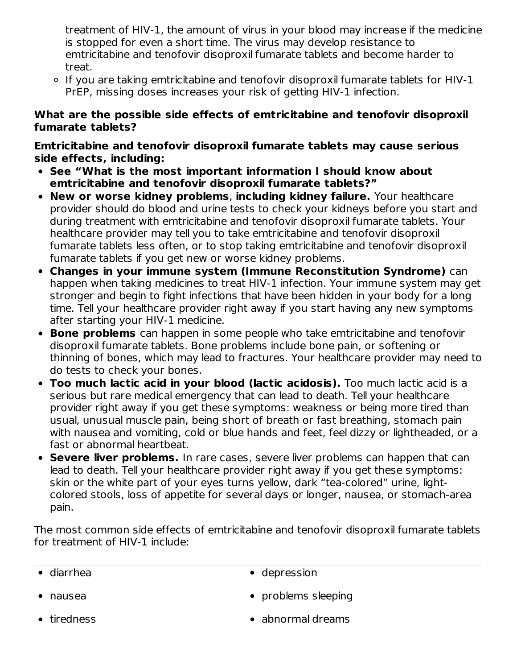treatment of HIV-1, the amount of virus in your blood may increase if the medicine is stopped for even a short time. The virus may develop resistance to emtricitabine and tenofovir disoproxil fumarate tablets and become harder to treat.

If you are taking emtricitabine and tenofovir disoproxil fumarate tablets for HIV-1 PrEP, missing doses increases your risk of getting HIV-1 infection.

#### **What are the possible side effects of emtricitabine and tenofovir disoproxil fumarate tablets?**

**Emtricitabine and tenofovir disoproxil fumarate tablets may cause serious side effects, including:**

- **See "What is the most important information I should know about emtricitabine and tenofovir disoproxil fumarate tablets?"**
- **New or worse kidney problems**, **including kidney failure.** Your healthcare provider should do blood and urine tests to check your kidneys before you start and during treatment with emtricitabine and tenofovir disoproxil fumarate tablets. Your healthcare provider may tell you to take emtricitabine and tenofovir disoproxil fumarate tablets less often, or to stop taking emtricitabine and tenofovir disoproxil fumarate tablets if you get new or worse kidney problems.
- **Changes in your immune system (Immune Reconstitution Syndrome)** can happen when taking medicines to treat HIV-1 infection. Your immune system may get stronger and begin to fight infections that have been hidden in your body for a long time. Tell your healthcare provider right away if you start having any new symptoms after starting your HIV-1 medicine.
- **Bone problems** can happen in some people who take emtricitabine and tenofovir disoproxil fumarate tablets. Bone problems include bone pain, or softening or thinning of bones, which may lead to fractures. Your healthcare provider may need to do tests to check your bones.
- **Too much lactic acid in your blood (lactic acidosis).** Too much lactic acid is a serious but rare medical emergency that can lead to death. Tell your healthcare provider right away if you get these symptoms: weakness or being more tired than usual, unusual muscle pain, being short of breath or fast breathing, stomach pain with nausea and vomiting, cold or blue hands and feet, feel dizzy or lightheaded, or a fast or abnormal heartbeat.
- **Severe liver problems.** In rare cases, severe liver problems can happen that can lead to death. Tell your healthcare provider right away if you get these symptoms: skin or the white part of your eyes turns yellow, dark "tea-colored" urine, lightcolored stools, loss of appetite for several days or longer, nausea, or stomach-area pain.

The most common side effects of emtricitabine and tenofovir disoproxil fumarate tablets for treatment of HIV-1 include:

|  | $\bullet$ diarrhea |  | • depression |
|--|--------------------|--|--------------|
|--|--------------------|--|--------------|

- 
- nausea **problems** sleeping
- 
- tiredness abnormal dreams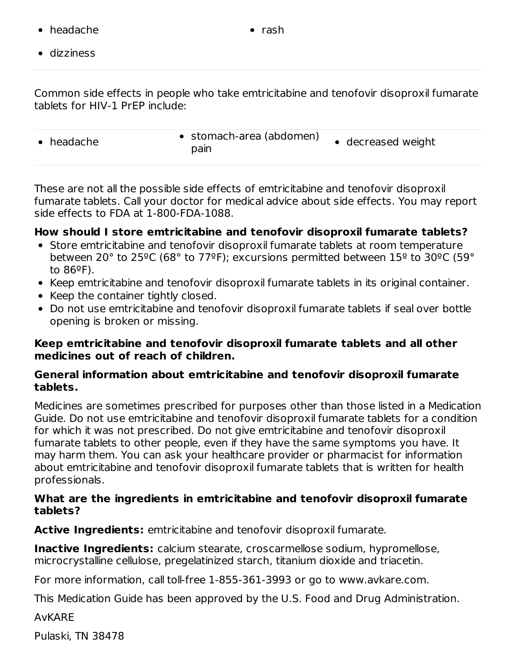headache rash

dizziness

Common side effects in people who take emtricitabine and tenofovir disoproxil fumarate tablets for HIV-1 PrEP include:

| • stomach-area (abdomen)<br>• decreased weight<br>$\bullet$ headache<br>pain |  |
|------------------------------------------------------------------------------|--|
|------------------------------------------------------------------------------|--|

These are not all the possible side effects of emtricitabine and tenofovir disoproxil fumarate tablets. Call your doctor for medical advice about side effects. You may report side effects to FDA at 1-800-FDA-1088.

#### **How should I store emtricitabine and tenofovir disoproxil fumarate tablets?**

- Store emtricitabine and tenofovir disoproxil fumarate tablets at room temperature between 20° to 25ºC (68° to 77ºF); excursions permitted between 15º to 30ºC (59° to  $86^{\circ}$ F).
- Keep emtricitabine and tenofovir disoproxil fumarate tablets in its original container.
- Keep the container tightly closed.
- Do not use emtricitabine and tenofovir disoproxil fumarate tablets if seal over bottle opening is broken or missing.

#### **Keep emtricitabine and tenofovir disoproxil fumarate tablets and all other medicines out of reach of children.**

#### **General information about emtricitabine and tenofovir disoproxil fumarate tablets.**

Medicines are sometimes prescribed for purposes other than those listed in a Medication Guide. Do not use emtricitabine and tenofovir disoproxil fumarate tablets for a condition for which it was not prescribed. Do not give emtricitabine and tenofovir disoproxil fumarate tablets to other people, even if they have the same symptoms you have. It may harm them. You can ask your healthcare provider or pharmacist for information about emtricitabine and tenofovir disoproxil fumarate tablets that is written for health professionals.

#### **What are the ingredients in emtricitabine and tenofovir disoproxil fumarate tablets?**

**Active Ingredients:** emtricitabine and tenofovir disoproxil fumarate.

**Inactive Ingredients:** calcium stearate, croscarmellose sodium, hypromellose, microcrystalline cellulose, pregelatinized starch, titanium dioxide and triacetin.

For more information, call toll-free 1-855-361-3993 or go to www.avkare.com.

This Medication Guide has been approved by the U.S. Food and Drug Administration.

#### AvKARE

Pulaski, TN 38478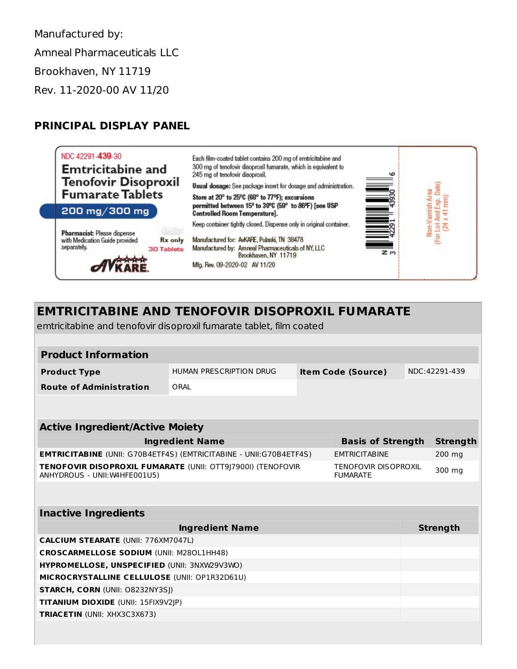Manufactured by: Amneal Pharmaceuticals LLC Brookhaven, NY 11719 Rev. 11-2020-00 AV 11/20

#### **PRINCIPAL DISPLAY PANEL**



# **EMTRICITABINE AND TENOFOVIR DISOPROXIL FUMARATE**

emtricitabine and tenofovir disoproxil fumarate tablet, film coated

| <b>Product Information</b>                                                                                                                     |                         |                           |                          |                 |          |  |  |  |
|------------------------------------------------------------------------------------------------------------------------------------------------|-------------------------|---------------------------|--------------------------|-----------------|----------|--|--|--|
| <b>Product Type</b>                                                                                                                            | HUMAN PRESCRIPTION DRUG | <b>Item Code (Source)</b> |                          | NDC: 42291-439  |          |  |  |  |
| <b>Route of Administration</b>                                                                                                                 | ORAL                    |                           |                          |                 |          |  |  |  |
|                                                                                                                                                |                         |                           |                          |                 |          |  |  |  |
| <b>Active Ingredient/Active Moiety</b>                                                                                                         |                         |                           |                          |                 |          |  |  |  |
|                                                                                                                                                | <b>Ingredient Name</b>  |                           | <b>Basis of Strength</b> |                 | Strength |  |  |  |
| <b>EMTRICITABINE</b> (UNII: G70B4ETF4S) (EMTRICITABINE - UNII:G70B4ETF4S)<br><b>FMTRICITABINE</b>                                              |                         |                           |                          |                 | 200 mg   |  |  |  |
| <b>TENOFOVIR DISOPROXIL FUMARATE (UNII: OTT9 7900I) (TENOFOVIR</b><br>TENOFOVIR DISOPROXIL<br>ANHYDROUS - UNII: W4HFE001U5)<br><b>FUMARATE</b> |                         |                           |                          | 300 mg          |          |  |  |  |
|                                                                                                                                                |                         |                           |                          |                 |          |  |  |  |
| <b>Inactive Ingredients</b>                                                                                                                    |                         |                           |                          |                 |          |  |  |  |
| <b>Ingredient Name</b>                                                                                                                         |                         |                           |                          | <b>Strength</b> |          |  |  |  |
| <b>CALCIUM STEARATE (UNII: 776XM7047L)</b>                                                                                                     |                         |                           |                          |                 |          |  |  |  |
| <b>CROSCARMELLOSE SODIUM (UNII: M280L1HH48)</b>                                                                                                |                         |                           |                          |                 |          |  |  |  |
| HYPROMELLOSE, UNSPECIFIED (UNII: 3NXW29V3WO)                                                                                                   |                         |                           |                          |                 |          |  |  |  |
| MICROCRYSTALLINE CELLULOSE (UNII: OP1R32D61U)                                                                                                  |                         |                           |                          |                 |          |  |  |  |
| <b>STARCH, CORN (UNII: O8232NY3SJ)</b>                                                                                                         |                         |                           |                          |                 |          |  |  |  |
| <b>TITANIUM DIOXIDE (UNII: 15FIX9V2IP)</b>                                                                                                     |                         |                           |                          |                 |          |  |  |  |
| <b>TRIACETIN (UNII: XHX3C3X673)</b>                                                                                                            |                         |                           |                          |                 |          |  |  |  |
|                                                                                                                                                |                         |                           |                          |                 |          |  |  |  |